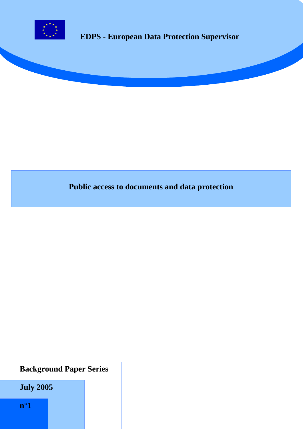

# **EDPS - European Data Protection Supervisor**

# **Public access to documents and data protection**

# **Background Paper Series**

 **July 2005**

 **n°1**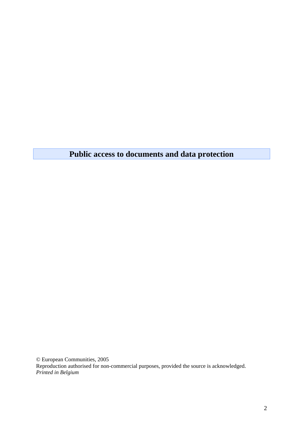**Public access to documents and data protection** 

© European Communities, 2005 Reproduction authorised for non-commercial purposes, provided the source is acknowledged. *Printed in Belgium*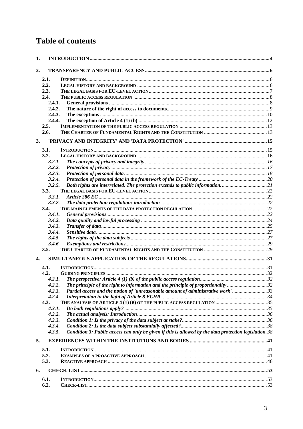# **Table of contents**

| 1.               |                  |                                                                                                          |  |
|------------------|------------------|----------------------------------------------------------------------------------------------------------|--|
| 2.               |                  |                                                                                                          |  |
|                  |                  |                                                                                                          |  |
|                  | 2.1.             |                                                                                                          |  |
|                  | 2.2.             |                                                                                                          |  |
|                  | 2.3.             |                                                                                                          |  |
|                  | 2.4.             |                                                                                                          |  |
|                  | 2.4.1.<br>2.4.2. |                                                                                                          |  |
|                  | 2.4.3.           |                                                                                                          |  |
|                  |                  |                                                                                                          |  |
|                  | 2.4.4.<br>2.5.   |                                                                                                          |  |
|                  | 2.6.             |                                                                                                          |  |
|                  |                  |                                                                                                          |  |
| 3.               |                  |                                                                                                          |  |
|                  | 3.1.             |                                                                                                          |  |
|                  | 3.2.             |                                                                                                          |  |
|                  | 3.2.1.           |                                                                                                          |  |
|                  | 3.2.2.           |                                                                                                          |  |
|                  | 3.2.3.           |                                                                                                          |  |
|                  | 3.2.4.           |                                                                                                          |  |
|                  | 3.2.5.           |                                                                                                          |  |
|                  | 3.3.             |                                                                                                          |  |
|                  | 3.3.1.           |                                                                                                          |  |
|                  | 3.3.2.           |                                                                                                          |  |
|                  | 3.4.             |                                                                                                          |  |
|                  | 3.4.1.           |                                                                                                          |  |
|                  | 3.4.2.           |                                                                                                          |  |
|                  | 3.4.3.           |                                                                                                          |  |
|                  | 3.4.4.           |                                                                                                          |  |
|                  | 3.4.5.           |                                                                                                          |  |
|                  | 3.4.6.           |                                                                                                          |  |
|                  | 3.5.             |                                                                                                          |  |
| $\overline{4}$ . |                  |                                                                                                          |  |
|                  | 4.1.             |                                                                                                          |  |
|                  | 4.2.             |                                                                                                          |  |
|                  | 4.2.1.           |                                                                                                          |  |
|                  | 4.2.2.           | The principle of the right to information and the principle of proportionality 32                        |  |
|                  | 4.2.3.           | Partial access and the notion of 'unreasonable amount of administrative work'33                          |  |
|                  | 4.2.4.           |                                                                                                          |  |
|                  | 4.3.             |                                                                                                          |  |
|                  | 4.3.1.           |                                                                                                          |  |
|                  | 4.3.2.           |                                                                                                          |  |
|                  | 4.3.3.           |                                                                                                          |  |
|                  | 4.3.4.           |                                                                                                          |  |
|                  | 4.3.5.           | Condition 3: Public access can only be given if this is allowed by the data protection legislation. $38$ |  |
| 5.               |                  |                                                                                                          |  |
|                  | 5.1.             |                                                                                                          |  |
|                  | 5.2.             |                                                                                                          |  |
|                  | 5.3.             |                                                                                                          |  |
|                  |                  |                                                                                                          |  |
| 6.               |                  |                                                                                                          |  |
|                  | 6.1.             |                                                                                                          |  |
|                  | 6.2.             |                                                                                                          |  |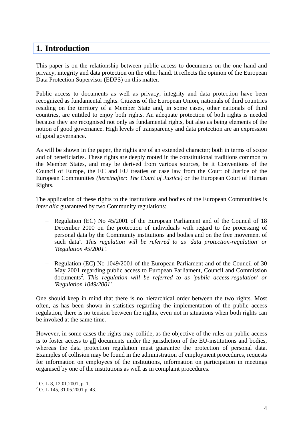## <span id="page-3-0"></span>**1. Introduction**

This paper is on the relationship between public access to documents on the one hand and privacy, integrity and data protection on the other hand. It reflects the opinion of the European Data Protection Supervisor (EDPS) on this matter.

Public access to documents as well as privacy, integrity and data protection have been recognized as fundamental rights. Citizens of the European Union, nationals of third countries residing on the territory of a Member State and, in some cases, other nationals of third countries, are entitled to enjoy both rights. An adequate protection of both rights is needed because they are recognised not only as fundamental rights, but also as being elements of the notion of good governance. High levels of transparency and data protection are an expression of good governance.

As will be shown in the paper, the rights are of an extended character; both in terms of scope and of beneficiaries. These rights are deeply rooted in the constitutional traditions common to the Member States, and may be derived from various sources, be it Conventions of the Council of Europe, the EC and EU treaties or case law from the Court of Justice of the European Communities *(hereinafter: The Court of Justice)* or the European Court of Human Rights.

The application of these rights to the institutions and bodies of the European Communities is *inter alia* guaranteed by two Community regulations:

- − Regulation (EC) No 45/2001 of the European Parliament and of the Council of 18 December 2000 on the protection of individuals with regard to the processing of personal data by the Community institutions and bodies and on the free movement of such data<sup>1</sup>. This regulation will be referred to as 'data protection-regulation' or *'Regulation 45/2001'.*
- − Regulation (EC) No 1049/2001 of the European Parliament and of the Council of 30 May 2001 regarding public access to European Parliament, Council and Commission documents<sup>[2](#page-3-2)</sup>. This regulation will be referred to as 'public access-regulation' or *'Regulation 1049/2001'.*

One should keep in mind that there is no hierarchical order between the two rights. Most often, as has been shown in statistics regarding the implementation of the public access regulation, there is no tension between the rights, even not in situations when both rights can be invoked at the same time.

However, in some cases the rights may collide, as the objective of the rules on public access is to foster access to all documents under the jurisdiction of the EU-institutions and bodies, whereas the data protection regulation must guarantee the protection of personal data. Examples of collision may be found in the administration of employment procedures, requests for information on employees of the institutions, information on participation in meetings organised by one of the institutions as well as in complaint procedures.

<span id="page-3-1"></span><sup>&</sup>lt;sup>1</sup> OJ L 8, 12.01.2001, p. 1.<br><sup>2</sup> OJ L 145, 21.05.2001 p. *2* 

<span id="page-3-2"></span> $^{2}$  OJ L 145, 31.05.2001 p. 43.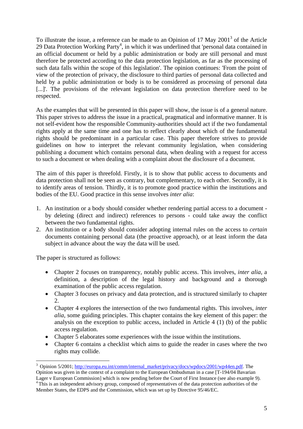To illustrate the issue, a reference can be made to an Opinion of 17 May  $2001<sup>3</sup>$  $2001<sup>3</sup>$  $2001<sup>3</sup>$  of the Article 29 Data Protection Working Party<sup>[4](#page-4-1)</sup>, in which it was underlined that 'personal data contained in an official document or held by a public administration or body are still personal and must therefore be protected according to the data protection legislation, as far as the processing of such data falls within the scope of this legislation'. The opinion continues: 'From the point of view of the protection of privacy, the disclosure to third parties of personal data collected and held by a public administration or body is to be considered as processing of personal data [...]'. The provisions of the relevant legislation on data protection therefore need to be respected.

As the examples that will be presented in this paper will show, the issue is of a general nature. This paper strives to address the issue in a practical, pragmatical and informative manner. It is not self-evident how the responsible Community-authorities should act if the two fundamental rights apply at the same time and one has to reflect clearly about which of the fundamental rights should be predominant in a particular case. This paper therefore strives to provide guidelines on how to interpret the relevant community legislation, when considering publishing a document which contains personal data, when dealing with a request for access to such a document or when dealing with a complaint about the disclosure of a document.

The aim of this paper is threefold. Firstly, it is to show that public access to documents and data protection shall not be seen as contrary, but complementary, to each other. Secondly, it is to identify areas of tension. Thirdly, it is to promote good practice within the institutions and bodies of the EU. Good practice in this sense involves *inter alia*:

- 1. An institution or a body should consider whether rendering partial access to a document by deleting (direct and indirect) references to persons - could take away the conflict between the two fundamental rights.
- 2. An institution or a body should consider adopting internal rules on the access to *certain* documents containing personal data (the proactive approach), or at least inform the data subject in advance about the way the data will be used.

The paper is structured as follows:

- Chapter 2 focuses on transparency, notably public access. This involves, *inter alia*, a definition, a description of the legal history and background and a thorough examination of the public access regulation.
- Chapter 3 focuses on privacy and data protection, and is structured similarly to chapter 2.
- Chapter 4 explores the intersection of the two fundamental rights. This involves, *inter alia*, some guiding principles. This chapter contains the key element of this paper: the analysis on the exception to public access, included in Article 4 (1) (b) of the public access regulation.
- Chapter 5 elaborates some experiences with the issue within the institutions.
- Chapter 6 contains a checklist which aims to guide the reader in cases where the two rights may collide.

<span id="page-4-1"></span><span id="page-4-0"></span><sup>&</sup>lt;sup>3</sup> Opinion 5/2001; [http://europa.eu.int/comm/internal\\_market/privacy/docs/wpdocs/2001/wp44en.pdf.](http://europa.eu.int/comm/internal_market/privacy/docs/wpdocs/2001/wp44en.pdf) The Opinion was given in the context of a complaint to the European Ombudsman in a case [T-194/04 Bavarian Lager v European Commission] which is now pending before the Court of First Instance (see also example 9).  $\rm{4}$ This is an independent advisory group, composed of representatives of the data protection authorities of the Member States, the EDPS and the Commission, which was set up by Directive 95/46/EC.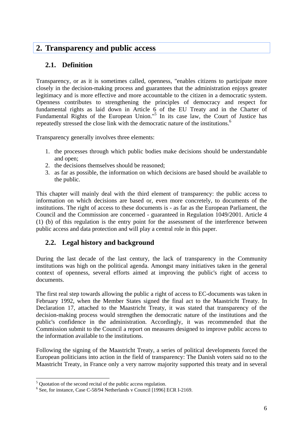## <span id="page-5-0"></span>**2. Transparency and public access**

## **2.1. Definition**

Transparency, or as it is sometimes called, openness, "enables citizens to participate more closely in the decision-making process and guarantees that the administration enjoys greater legitimacy and is more effective and more accountable to the citizen in a democratic system. Openness contributes to strengthening the principles of democracy and respect for fundamental rights as laid down in Article 6 of the EU Treaty and in the Charter of Fundamental Rights of the European Union."<sup>[5](#page-5-1)</sup> In its case law, the Court of Justice has repeatedly stressed the close link with the democratic nature of the institutions.<sup>[6](#page-5-2)</sup>

Transparency generally involves three elements:

- 1. the processes through which public bodies make decisions should be understandable and open;
- 2. the decisions themselves should be reasoned;
- 3. as far as possible, the information on which decisions are based should be available to the public.

This chapter will mainly deal with the third element of transparency: the public access to information on which decisions are based or, even more concretely, to documents of the institutions. The right of access to these documents is - as far as the European Parliament, the Council and the Commission are concerned - guaranteed in Regulation 1049/2001. Article 4 (1) (b) of this regulation is the entry point for the assessment of the interference between public access and data protection and will play a central role in this paper.

## **2.2. Legal history and background**

During the last decade of the last century, the lack of transparency in the Community institutions was high on the political agenda. Amongst many initiatives taken in the general context of openness, several efforts aimed at improving the public's right of access to documents.

The first real step towards allowing the public a right of access to EC-documents was taken in February 1992, when the Member States signed the final act to the Maastricht Treaty. In Declaration 17, attached to the Maastricht Treaty, it was stated that transparency of the decision-making process would strengthen the democratic nature of the institutions and the public's confidence in the administration. Accordingly, it was recommended that the Commission submit to the Council a report on measures designed to improve public access to the information available to the institutions.

Following the signing of the Maastricht Treaty, a series of political developments forced the European politicians into action in the field of transparency: The Danish voters said no to the Maastricht Treaty, in France only a very narrow majority supported this treaty and in several

<span id="page-5-1"></span><sup>&</sup>lt;sup>5</sup> Quotation of the second recital of the public access regulation.

<span id="page-5-2"></span><sup>&</sup>lt;sup>6</sup> See, for instance, Case C-58/94 Netherlands v Council [1996] ECR I-2169.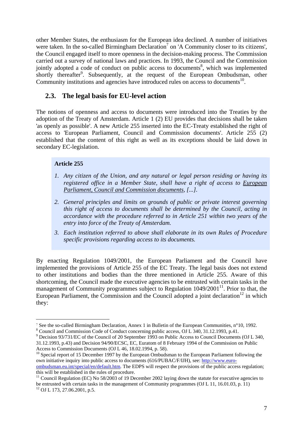<span id="page-6-0"></span>other Member States, the enthusiasm for the European idea declined. A number of initiatives were taken. In the so-called Birmingham Declaration<sup>[7](#page-6-1)</sup> on 'A Community closer to its citizens', the Council engaged itself to more openness in the decision-making process. The Commission carried out a survey of national laws and practices. In 1993, the Council and the Commission jointly adopted a code of conduct on public access to documents<sup>8</sup>[,](#page-6-2) which was implemented shortly thereafter<sup>[9](#page-6-3)</sup>. Subsequently, at the request of the European Ombudsman, other Community institutions and agencies have introduced rules on access to documents<sup>10</sup>.

## **2.3. The legal basis for EU-level action**

The notions of openness and access to documents were introduced into the Treaties by the adoption of the Treaty of Amsterdam. Article 1 (2) EU provides that decisions shall be taken 'as openly as possible'. A new Article 255 inserted into the EC-Treaty established the right of access to 'European Parliament, Council and Commission documents'. Article 255 (2) established that the content of this right as well as its exceptions should be laid down in secondary EC-legislation.

#### **Article 255**

 $\overline{a}$ 

- *1. Any citizen of the Union, and any natural or legal person residing or having its registered office in a Member State, shall have a right of access to European Parliament, Council and Commission documents, [...].*
- *2. General principles and limits on grounds of public or private interest governing this right of access to documents shall be determined by the Council, acting in accordance with the procedure referred to in Article 251 within two years of the entry into force of the Treaty of Amsterdam.*
- *3. Each institution referred to above shall elaborate in its own Rules of Procedure specific provisions regarding access to its documents.*

By enacting Regulation 1049/2001, the European Parliament and the Council have implemented the provisions of Article 255 of the EC Treaty. The legal basis does not extend to other institutions and bodies than the three mentioned in Article 255. Aware of this shortcoming, the Council made the executive agencies to be entrusted with certain tasks in the management of Community programmes subject to Regulation  $1049/2001<sup>11</sup>$ . Prior to that, the European Parliament, the Commission and the Council adopted a joint declaration<sup>12</sup> in which they:

<span id="page-6-1"></span><sup>7</sup> See the so-called Birmingham Declaration, Annex 1 in Bulletin of the European Communities, n°10, 1992. 8

<span id="page-6-2"></span><sup>&</sup>lt;sup>8</sup> Council and Commission Code of Conduct concerning public access, OJ L 340, 31.12.1993, p.41.

<span id="page-6-3"></span><sup>&</sup>lt;sup>9</sup> Decision 93/731/EC of the Council of 20 September 1993 on Public Access to Council Documents (OJ L 340,

<sup>31.12.1993,</sup> p.43) and Decision 94/90/ECSC, EC, Euratom of 8 February 1994 of the Commission on Public Access to Commission Documents (OJ L 46, 18.02.1994, p. 58).<br><sup>10</sup> Special report of 15 December 1997 by the European Ombudsman to the European Parliament following the

<span id="page-6-4"></span>own initiative inquiry into public access to documents (616/PUBAC/F/IJH), see: [http://www.euro](http://www.euro-ombudsman.eu.int/special/en/default.htm)[ombudsman.eu.int/special/en/default.htm](http://www.euro-ombudsman.eu.int/special/en/default.htm). The EDPS will respect the provisions of the public access regulation;<br>this will be established in the rules of procedure.

<span id="page-6-6"></span><span id="page-6-5"></span><sup>&</sup>lt;sup>11</sup> Council Regulation (EC) No 58/2003 of 19 December 2002 laying down the statute for executive agencies to be entrusted with certain tasks in the management of Community programmes (OJ L 11, 16.01.03, p. 11) <sup>12</sup> OJ L 173, 27.06.2001, p.5.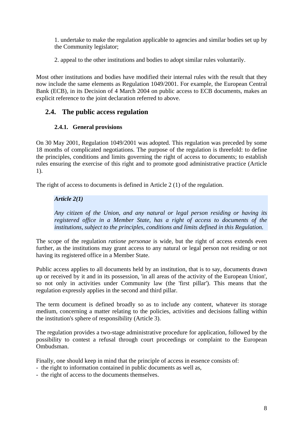<span id="page-7-0"></span>1. undertake to make the regulation applicable to agencies and similar bodies set up by the Community legislator;

2. appeal to the other institutions and bodies to adopt similar rules voluntarily.

Most other institutions and bodies have modified their internal rules with the result that they now include the same elements as Regulation 1049/2001. For example, the European Central Bank (ECB), in its Decision of 4 March 2004 on public access to ECB documents, makes an explicit reference to the joint declaration referred to above.

## **2.4. The public access regulation**

### **2.4.1. General provisions**

On 30 May 2001, Regulation 1049/2001 was adopted. This regulation was preceded by some 18 months of complicated negotiations. The purpose of the regulation is threefold: to define the principles, conditions and limits governing the right of access to documents; to establish rules ensuring the exercise of this right and to promote good administrative practice (Article 1).

The right of access to documents is defined in Article 2 (1) of the regulation.

#### *Article 2(1)*

*Any citizen of the Union, and any natural or legal person residing or having its registered office in a Member State, has a right of access to documents of the institutions, subject to the principles, conditions and limits defined in this Regulation.* 

The scope of the regulation *ratione personae* is wide, but the right of access extends even further, as the institutions may grant access to any natural or legal person not residing or not having its registered office in a Member State.

Public access applies to all documents held by an institution, that is to say, documents drawn up or received by it and in its possession, 'in all areas of the activity of the European Union', so not only in activities under Community law (the 'first pillar'). This means that the regulation expressly applies in the second and third pillar.

The term document is defined broadly so as to include any content, whatever its storage medium, concerning a matter relating to the policies, activities and decisions falling within the institution's sphere of responsibility (Article 3).

The regulation provides a two-stage administrative procedure for application, followed by the possibility to contest a refusal through court proceedings or complaint to the European Ombudsman.

Finally, one should keep in mind that the principle of access in essence consists of:

- the right to information contained in public documents as well as,
- the right of access to the documents themselves.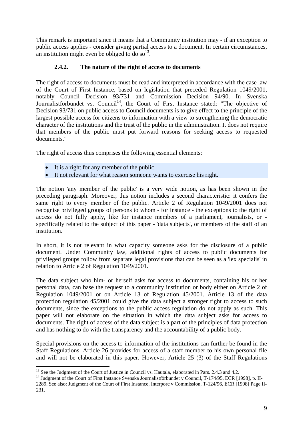<span id="page-8-0"></span>This remark is important since it means that a Community institution may - if an exception to public access applies - consider giving partial access to a document. In certain circumstances, an institution might even be obliged to do so<sup>13</sup>.

### **2.4.2. The nature of the right of access to documents**

The right of access to documents must be read and interpreted in accordance with the case law of the Court of First Instance, based on legislation that preceded Regulation 1049/2001, notably Council Decision 93/731 and Commission Decision 94/90. In Svenska Journalistförbundet vs. Council<sup>14</sup>, the Court of First Instance stated: "The objective of Decision 93/731 on public access to Council documents is to give effect to the principle of the largest possible access for citizens to information with a view to strengthening the democratic character of the institutions and the trust of the public in the administration. It does not require that members of the public must put forward reasons for seeking access to requested documents."

The right of access thus comprises the following essential elements:

- It is a right for any member of the public.
- It not relevant for what reason someone wants to exercise his right.

The notion 'any member of the public' is a very wide notion, as has been shown in the preceding paragraph. Moreover, this notion includes a second characteristic: it confers the same right to every member of the public. Article 2 of Regulation 1049/2001 does not recognise privileged groups of persons to whom - for instance - the exceptions to the right of access do not fully apply, like for instance members of a parliament, journalists, or specifically related to the subject of this paper - 'data subjects', or members of the staff of an institution.

In short, it is not relevant in what capacity someone asks for the disclosure of a public document. Under Community law, additional rights of access to public documents for privileged groups follow from separate legal provisions that can be seen as a 'lex specialis' in relation to Article 2 of Regulation 1049/2001.

The data subject who him- or herself asks for access to documents, containing his or her personal data, can base the request to a community institution or body either on Article 2 of Regulation 1049/2001 or on Article 13 of Regulation 45/2001. Article 13 of the data protection regulation 45/2001 could give the data subject a stronger right to access to such documents, since the exceptions to the public access regulation do not apply as such. This paper will not elaborate on the situation in which the data subject asks for access to documents. The right of access of the data subject is a part of the principles of data protection and has nothing to do with the transparency and the accountability of a public body.

Special provisions on the access to information of the institutions can further be found in the Staff Regulations. Article 26 provides for access of a staff member to his own personal file and will not be elaborated in this paper. However, Article 25 (3) of the Staff Regulations

<span id="page-8-1"></span><sup>&</sup>lt;sup>13</sup> See the Judgment of the Court of Justice in Council vs. Hautala, elaborated in Pars. 2.4.3 and 4.2.

<span id="page-8-2"></span><sup>&</sup>lt;sup>14</sup> Judgment of the Court of First Instance Svenska Journalistförbundet v Council, T-174/95, ECR [1998], p. II-

<sup>2289.</sup> See also: Judgment of the Court of First Instance, Interporc v Commission, T-124/96, ECR [1998] Page II-231.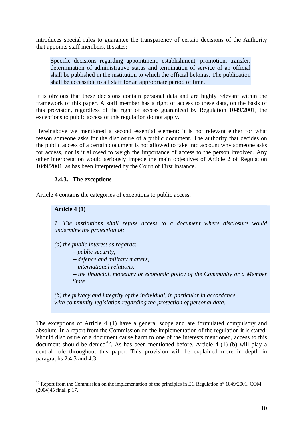<span id="page-9-0"></span>introduces special rules to guarantee the transparency of certain decisions of the Authority that appoints staff members. It states:

Specific decisions regarding appointment, establishment, promotion, transfer, determination of administrative status and termination of service of an official shall be published in the institution to which the official belongs. The publication shall be accessible to all staff for an appropriate period of time.

It is obvious that these decisions contain personal data and are highly relevant within the framework of this paper. A staff member has a right of access to these data, on the basis of this provision, regardless of the right of access guaranteed by Regulation 1049/2001; the exceptions to public access of this regulation do not apply.

Hereinabove we mentioned a second essential element: it is not relevant either for what reason someone asks for the disclosure of a public document. The authority that decides on the public access of a certain document is not allowed to take into account why someone asks for access, nor is it allowed to weigh the importance of access to the person involved. Any other interpretation would seriously impede the main objectives of Article 2 of Regulation 1049/2001, as has been interpreted by the Court of First Instance.

#### **2.4.3. The exceptions**

Article 4 contains the categories of exceptions to public access.

#### **Article 4 (1)**

 $\overline{a}$ 

*1. The institutions shall refuse access to a document where disclosure would undermine the protection of:* 

*(a) the public interest as regards:* 

<sup>−</sup> *public security,* 

<sup>−</sup> *defence and military matters,* 

<sup>−</sup> *international relations,* 

<sup>−</sup> *the financial, monetary or economic policy of the Community or a Member State* 

*(b) the privacy and integrity of the individual, in particular in accordance with community legislation regarding the protection of personal data.*

The exceptions of Article 4 (1) have a general scope and are formulated compulsory and absolute. In a report from the Commission on the implementation of the regulation it is stated: 'should disclosure of a document cause harm to one of the interests mentioned, access to this document should be denied<sup> $15$ </sup>. As has been mentioned before, Article 4 (1) (b) will play a central role throughout this paper. This provision will be explained more in depth in paragraphs 2.4.3 and 4.3.

<span id="page-9-1"></span><sup>&</sup>lt;sup>15</sup> Report from the Commission on the implementation of the principles in EC Regulation n° 1049/2001, COM (2004)45 final, p.17.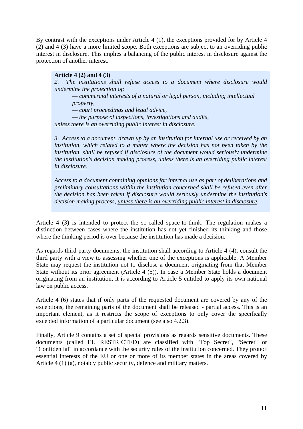By contrast with the exceptions under Article 4 (1), the exceptions provided for by Article 4 (2) and 4 (3) have a more limited scope. Both exceptions are subject to an overriding public interest in disclosure. This implies a balancing of the public interest in disclosure against the protection of another interest.

#### **Article 4 (2) and 4 (3)**

*2. The institutions shall refuse access to a document where disclosure would undermine the protection of:* 

*— commercial interests of a natural or legal person, including intellectual property,* 

*— court proceedings and legal advice,* 

*— the purpose of inspections, investigations and audits,* 

*unless there is an overriding public interest in disclosure.*

*3. Access to a document, drawn up by an institution for internal use or received by an institution, which related to a matter where the decision has not been taken by the institution, shall be refused if disclosure of the document would seriously undermine the institution's decision making process, unless there is an overriding public interest in disclosure.*

*Access to a document containing opinions for internal use as part of deliberations and preliminary consultations within the institution concerned shall be refused even after the decision has been taken if disclosure would seriously undermine the institution's decision making process, unless there is an overriding public interest in disclosure.* 

Article 4 (3) is intended to protect the so-called space-to-think. The regulation makes a distinction between cases where the institution has not yet finished its thinking and those where the thinking period is over because the institution has made a decision.

As regards third-party documents, the institution shall according to Article 4 (4), consult the third party with a view to assessing whether one of the exceptions is applicable. A Member State may request the institution not to disclose a document originating from that Member State without its prior agreement (Article 4 (5)). In case a Member State holds a document originating from an institution, it is according to Article 5 entitled to apply its own national law on public access.

Article 4 (6) states that if only parts of the requested document are covered by any of the exceptions, the remaining parts of the document shall be released - partial access. This is an important element, as it restricts the scope of exceptions to only cover the specifically excepted information of a particular document (see also 4.2.3).

Finally, Article 9 contains a set of special provisions as regards sensitive documents. These documents (called EU RESTRICTED) are classified with "Top Secret", "Secret" or "Confidential" in accordance with the security rules of the institution concerned. They protect essential interests of the EU or one or more of its member states in the areas covered by Article 4 (1) (a), notably public security, defence and military matters.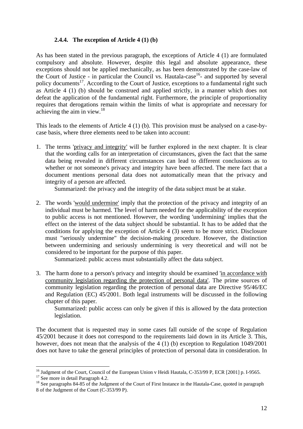#### **2.4.4. The exception of Article 4 (1) (b)**

<span id="page-11-0"></span>As has been stated in the previous paragraph, the exceptions of Article 4 (1) are formulated compulsory and absolute. However, despite this legal and absolute appearance, these exceptions should not be applied mechanically, as has been demonstrated by the case-law of the Court of Justice - in particular the Council vs. Hautala-case<sup>16</sup>- and supported by several policy documents<sup>17</sup>. According to the Court of Justice, exceptions to a fundamental right such as Article 4 (1) (b) should be construed and applied strictly, in a manner which does not defeat the application of the fundamental right. Furthermore, the principle of proportionality requires that derogations remain within the limits of what is appropriate and necessary for achieving the aim in view.[18](#page-11-3)

This leads to the elements of Article 4 (1) (b). This provision must be analysed on a case-bycase basis, where three elements need to be taken into account:

1. The terms 'privacy and integrity' will be further explored in the next chapter. It is clear that the wording calls for an interpretation of circumstances, given the fact that the same data being revealed in different circumstances can lead to different conclusions as to whether or not someone's privacy and integrity have been affected. The mere fact that a document mentions personal data does not automatically mean that the privacy and integrity of a person are affected.

Summarized: the privacy and the integrity of the data subject must be at stake.

2. The words 'would undermine' imply that the protection of the privacy and integrity of an individual must be harmed. The level of harm needed for the applicability of the exception to public access is not mentioned. However, the wording 'undermining' implies that the effect on the interest of the data subject should be substantial. It has to be added that the conditions for applying the exception of Article 4 (3) seem to be more strict. Disclosure must "seriously undermine" the decision-making procedure. However, the distinction between undermining and seriously undermining is very theoretical and will not be considered to be important for the purpose of this paper.

Summarized: public access must substantially affect the data subject.

3. The harm done to a person's privacy and integrity should be examined 'in accordance with community legislation regarding the protection of personal data'. The prime sources of community legislation regarding the protection of personal data are Directive 95/46/EC and Regulation (EC) 45/2001. Both legal instruments will be discussed in the following chapter of this paper.

Summarized: public access can only be given if this is allowed by the data protection legislation.

The document that is requested may in some cases fall outside of the scope of Regulation 45/2001 because it does not correspond to the requirements laid down in its Article 3. This, however, does not mean that the analysis of the 4 (1) (b) exception to Regulation 1049/2001 does not have to take the general principles of protection of personal data in consideration. In

<span id="page-11-1"></span>

<span id="page-11-3"></span><span id="page-11-2"></span>

<sup>&</sup>lt;sup>16</sup> Judgment of the Court, Council of the European Union v Heidi Hautala, C-353/99 P, ECR [2001] p. I-9565.<br><sup>17</sup> See more in detail Paragraph 4.2.<br><sup>18</sup> See paragraphs 84-85 of the Judgment of the Court of First Instance i 8 of the Judgment of the Court (C-353/99 P).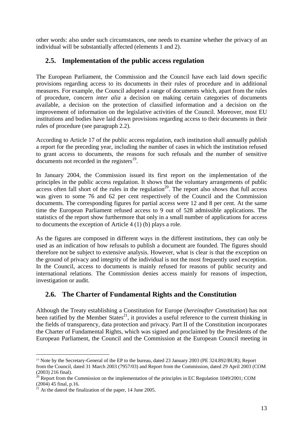<span id="page-12-0"></span>other words: also under such circumstances, one needs to examine whether the privacy of an individual will be substantially affected (elements 1 and 2).

## **2.5. Implementation of the public access regulation**

The European Parliament, the Commission and the Council have each laid down specific provisions regarding access to its documents in their rules of procedure and in additional measures. For example, the Council adopted a range of documents which, apart from the rules of procedure, concern *inter alia* a decision on making certain categories of documents available, a decision on the protection of classified information and a decision on the improvement of information on the legislative activities of the Council. Moreover, most EU institutions and bodies have laid down provisions regarding access to their documents in their rules of procedure (see paragraph 2.2).

According to Article 17 of the public access regulation, each institution shall annually publish a report for the preceding year, including the number of cases in which the institution refused to grant access to documents, the reasons for such refusals and the number of sensitive documents not recorded in the registers $^{19}$ .

In January 2004, the Commission issued its first report on the implementation of the principles in the public access regulation. It shows that the voluntary arrangements of public  $\frac{1}{4}$  access often fall short of the rules in the regulation<sup>20</sup>. The report also shows that full access was given to some 76 and 62 per cent respectively of the Council and the Commission documents. The corresponding figures for partial access were 12 and 8 per cent. At the same time the European Parliament refused access to 9 out of 528 admissible applications. The statistics of the report show furthermore that only in a small number of applications for access to documents the exception of Article 4 (1) (b) plays a role.

As the figures are composed in different ways in the different institutions, they can only be used as an indication of how refusals to publish a document are founded. The figures should therefore not be subject to extensive analysis. However, what is clear is that the exception on the ground of privacy and integrity of the individual is not the most frequently used exception. In the Council, access to documents is mainly refused for reasons of public security and international relations. The Commission denies access mainly for reasons of inspection, investigation or audit.

## **2.6. The Charter of Fundamental Rights and the Constitution**

Although the Treaty establishing a Constitution for Europe (*hereinafter Constitution*) has not been ratified by the Member States<sup>21</sup>, it provides a useful reference to the current thinking in the fields of transparency, data protection and privacy. Part II of the Constitution incorporates the Charter of Fundamental Rights, which was signed and proclaimed by the Presidents of the European Parliament, the Council and the Commission at the European Council meeting in

<span id="page-12-1"></span><sup>19</sup> Note by the Secretary-General of the EP to the bureau, dated 23 January 2003 (PE 324.892/BUR); Report from the Council, dated 31 March 2003 (7957/03) and Report from the Commission, dated 29 April 2003 (COM (2003) 216 final).<br><sup>20</sup> Report from the Commission on the implementation of the principles in EC Regulation 1049/2001; COM

<span id="page-12-2"></span><sup>(2004) 45</sup> final, p.16.  $^{21}$  At the date of the finalization of the paper, 14 June 2005.

<span id="page-12-3"></span>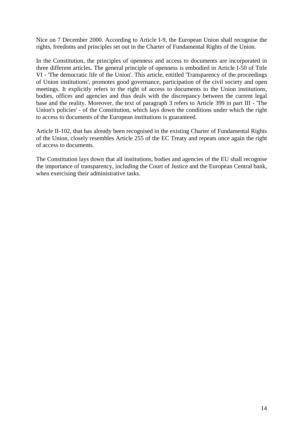Nice on 7 December 2000. According to Article I-9, the European Union shall recognise the rights, freedoms and principles set out in the Charter of Fundamental Rights of the Union.

In the Constitution, the principles of openness and access to documents are incorporated in three different articles. The general principle of openness is embodied in Article I-50 of Title VI - 'The democratic life of the Union'. This article, entitled 'Transparency of the proceedings of Union institutions', promotes good governance, participation of the civil society and open meetings. It explicitly refers to the right of access to documents to the Union institutions, bodies, offices and agencies and thus deals with the discrepancy between the current legal base and the reality. Moreover, the text of paragraph 3 refers to Article 399 in part III - 'The Union's policies' - of the Constitution, which lays down the conditions under which the right to access to documents of the European institutions is guaranteed.

Article II-102, that has already been recognised in the existing Charter of Fundamental Rights of the Union, closely resembles Article 255 of the EC Treaty and repeats once again the right of access to documents.

The Constitution lays down that all institutions, bodies and agencies of the EU shall recognise the importance of transparency, including the Court of Justice and the European Central bank, when exercising their administrative tasks.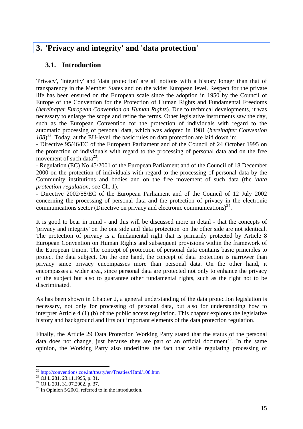## <span id="page-14-0"></span>**3. 'Privacy and integrity' and 'data protection'**

## **3.1. Introduction**

'Privacy', 'integrity' and 'data protection' are all notions with a history longer than that of transparency in the Member States and on the wider European level. Respect for the private life has been ensured on the European scale since the adoption in 1950 by the Council of Europe of the Convention for the Protection of Human Rights and Fundamental Freedoms (*hereinafter European Convention on Human Rights*). Due to technical developments, it was necessary to enlarge the scope and refine the terms. Other legislative instruments saw the day, such as the European Convention for the protection of individuals with regard to the automatic processing of personal data, which was adopted in 1981 (*hereinafter Convention 108*) [22.](#page-14-1) Today, at the EU-level, the basic rules on data protection are laid down in:

- Directive 95/46/EC of the European Parliament and of the Council of 24 October 1995 on the protection of individuals with regard to the processing of personal data and on the free movement of such data<sup>23</sup>;

- Regulation (EC) No 45/2001 of the European Parliament and of the Council of 18 December 2000 on the protection of individuals with regard to the processing of personal data by the Community institutions and bodies and on the free movement of such data (the *'data protection-regulation;* see Ch. 1).

- Directive 2002/58/EC of the European Parliament and of the Council of 12 July 2002 concerning the processing of personal data and the protection of privacy in the electronic communications sector (Directive on privacy and electronic communications)<sup>24</sup>.

It is good to bear in mind - and this will be discussed more in detail - that the concepts of 'privacy and integrity' on the one side and 'data protection' on the other side are not identical. The protection of privacy is a fundamental right that is primarily protected by Article 8 European Convention on Human Rights and subsequent provisions within the framework of the European Union. The concept of protection of personal data contains basic principles to protect the data subject. On the one hand, the concept of data protection is narrower than privacy since privacy encompasses more than personal data. On the other hand, it encompasses a wider area, since personal data are protected not only to enhance the privacy of the subject but also to guarantee other fundamental rights, such as the right not to be discriminated.

As has been shown in Chapter 2, a general understanding of the data protection legislation is necessary, not only for processing of personal data, but also for understanding how to interpret Article 4 (1) (b) of the public access regulation. This chapter explores the legislative history and background and lifts out important elements of the data protection regulation.

Finally, the Article 29 Data Protection Working Party stated that the status of the personal data does not change, just because they are part of an official document<sup>25</sup>. In the same opinion, the Working Party also underlines the fact that while regulating processing of

<span id="page-14-1"></span> $\overline{a}$ <sup>22</sup> <http://conventions.coe.int/treaty/en/Treaties/Html/108.htm><br><sup>23</sup> OJ L 281, 23.11.1995, p. 31.<br><sup>24</sup> OJ L 201, 31.07.2002, p. 37.<br><sup>25</sup> In Opinion 5/2001, referred to in the introduction.

<span id="page-14-2"></span>

<span id="page-14-3"></span>

<span id="page-14-4"></span>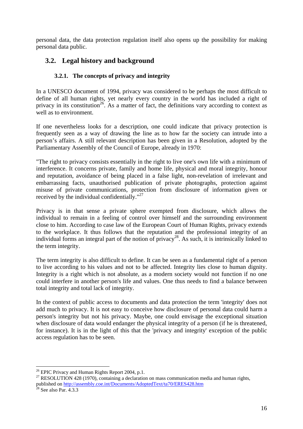<span id="page-15-0"></span>personal data, the data protection regulation itself also opens up the possibility for making personal data public.

## **3.2. Legal history and background**

## **3.2.1. The concepts of privacy and integrity**

In a UNESCO document of 1994, privacy was considered to be perhaps the most difficult to define of all human rights, yet nearly every country in the world has included a right of privacy in its constitution<sup>26</sup>. As a matter of fact, the definitions vary according to context as well as to environment.

If one nevertheless looks for a description, one could indicate that privacy protection is frequently seen as a way of drawing the line as to how far the society can intrude into a person's affairs. A still relevant description has been given in a Resolution, adopted by the Parliamentary Assembly of the Council of Europe, already in 1970:

"The right to privacy consists essentially in the right to live one's own life with a minimum of interference. It concerns private, family and home life, physical and moral integrity, honour and reputation, avoidance of being placed in a false light, non-revelation of irrelevant and embarrassing facts, unauthorised publication of private photographs, protection against misuse of private communications, protection from disclosure of information given or received by the individual confidentially."[27](#page-15-2)

Privacy is in that sense a private sphere exempted from disclosure, which allows the individual to remain in a feeling of control over himself and the surrounding environment close to him. According to case law of the European Court of Human Rights, privacy extends to the workplace. It thus follows that the reputation and the professional integrity of an individual forms an integral part of the notion of privacy<sup>28</sup>. As such, it is intrinsically linked to the term integrity.

The term integrity is also difficult to define. It can be seen as a fundamental right of a person to live according to his values and not to be affected. Integrity lies close to human dignity. Integrity is a right which is not absolute, as a modern society would not function if no one could interfere in another person's life and values. One thus needs to find a balance between total integrity and total lack of integrity.

In the context of public access to documents and data protection the term 'integrity' does not add much to privacy. It is not easy to conceive how disclosure of personal data could harm a person's integrity but not his privacy. Maybe, one could envisage the exceptional situation when disclosure of data would endanger the physical integrity of a person (if he is threatened, for instance). It is in the light of this that the 'privacy and integrity' exception of the public access regulation has to be seen.

<span id="page-15-1"></span><sup>&</sup>lt;sup>26</sup> EPIC Privacy and Human Rights Report 2004, p.1.

<span id="page-15-2"></span> $27$  RESOLUTION 428 (1970), containing a declaration on mass communication media and human rights, published on <u>http://assembly.coe.int/Documents/AdoptedText/ta70/ERES428.htm</u> <sup>28</sup> See also Par. 4.3.3

<span id="page-15-3"></span>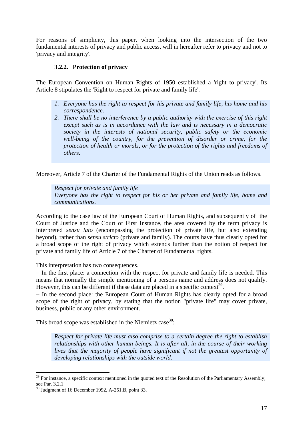<span id="page-16-0"></span>For reasons of simplicity, this paper, when looking into the intersection of the two fundamental interests of privacy and public access, will in hereafter refer to privacy and not to 'privacy and integrity'.

### **3.2.2. Protection of privacy**

The European Convention on Human Rights of 1950 established a 'right to privacy'. Its Article 8 stipulates the 'Right to respect for private and family life'.

- *1. Everyone has the right to respect for his private and family life, his home and his correspondence.*
- *2. There shall be no interference by a public authority with the exercise of this right except such as is in accordance with the law and is necessary in a democratic society in the interests of national security, public safety or the economic well-being of the country, for the prevention of disorder or crime, for the protection of health or morals, or for the protection of the rights and freedoms of others.*

Moreover, Article 7 of the Charter of the Fundamental Rights of the Union reads as follows.

*Respect for private and family life Everyone has the right to respect for his or her private and family life, home and communications.*

According to the case law of the European Court of Human Rights, and subsequently of the Court of Justice and the Court of First Instance, the area covered by the term privacy is interpreted *sensu lato* (encompassing the protection of private life, but also extending beyond), rather than *sensu stricto* (private and family). The courts have thus clearly opted for a broad scope of the right of privacy which extends further than the notion of respect for private and family life of Article 7 of the Charter of Fundamental rights.

This interpretation has two consequences.

− In the first place: a connection with the respect for private and family life is needed. This means that normally the simple mentioning of a persons name and address does not qualify. However, this can be different if these data are placed in a specific context<sup>29</sup>.

− In the second place: the European Court of Human Rights has clearly opted for a broad scope of the right of privacy, by stating that the notion "private life" may cover private, business, public or any other environment.

This broad scope was established in the Niemietz case<sup>30</sup>:

*Respect for private life must also comprise to a certain degree the right to establish relationships with other human beings. It is after all, in the course of their working* lives that the majority of people have significant if not the greatest opportunity of *developing relationships with the outside world.* 

<span id="page-16-1"></span> $29$  For instance, a specific context mentioned in the quoted text of the Resolution of the Parliamentary Assembly; see Par. 3.2.1.<br><sup>30</sup> Judgment of 16 December 1992, A-251.B, point 33.

<span id="page-16-2"></span>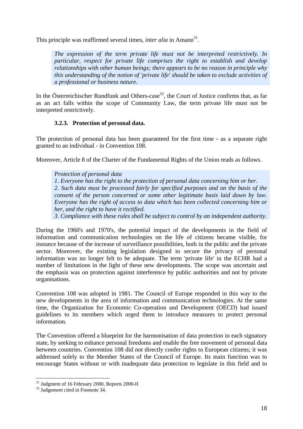<span id="page-17-0"></span>This principle was reaffirmed several times, *inter alia* in Amann<sup>31</sup>.

*The expression of the term private life must not be interpreted restrictively. In particular, respect for private life comprises the right to establish and develop relationships with other human beings; there appears to be no reason in principle why this understanding of the notion of 'private life' should be taken to exclude activities of a professional or business nature.* 

In the Österreichischer Rundfunk and Others-case<sup>32</sup>, the Court of Justice confirms that, as far as an act falls within the scope of Community Law, the term private life must not be interpreted restrictively.

### **3.2.3. Protection of personal data.**

The protection of personal data has been guaranteed for the first time - as a separate right granted to an individual - in Convention 108.

Moreover, Article 8 of the Charter of the Fundamental Rights of the Union reads as follows.

*Protection of personal data 1. Everyone has the right to the protection of personal data concerning him or her.*  2. Such data must be processed fairly for specified purposes and on the basis of the *consent of the person concerned or some other legitimate basis laid down by law. Everyone has the right of access to data which has been collected concerning him or her, and the right to have it rectified.* 

*3. Compliance with these rules shall be subject to control by an independent authority.*

During the 1960's and 1970's, the potential impact of the developments in the field of information and communication technologies on the life of citizens became visible, for instance because of the increase of surveillance possibilities, both in the public and the private sector. Moreover, the existing legislation designed to secure the privacy of personal information was no longer felt to be adequate. The term 'private life' in the ECHR had a number of limitations in the light of these new developments. The scope was uncertain and the emphasis was on protection against interference by public authorities and not by private organisations.

Convention 108 was adopted in 1981. The Council of Europe responded in this way to the new developments in the area of information and communication technologies. At the same time, the Organization for Economic Co-operation and Development (OECD) had issued guidelines to its members which urged them to introduce measures to protect personal information.

The Convention offered a blueprint for the harmonisation of data protection in each signatory state, by seeking to enhance personal freedoms and enable the free movement of personal data between countries. Convention 108 did not directly confer rights to European citizens; it was addressed solely to the Member States of the Council of Europe. Its main function was to encourage States without or with inadequate data protection to legislate in this field and to

<span id="page-17-1"></span> $31 \over 32$  Judgment of 16 February 2000, Reports 2000-II  $32$  Judgement cited in Footnote 34.

<span id="page-17-2"></span>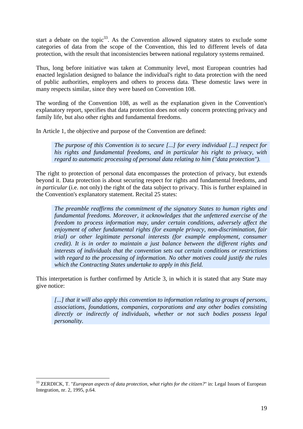start a debate on the topic<sup>33</sup>. As the Convention allowed signatory states to exclude some categories of data from the scope of the Convention, this led to different levels of data protection, with the result that inconsistencies between national regulatory systems remained.

Thus, long before initiative was taken at Community level, most European countries had enacted legislation designed to balance the individual's right to data protection with the need of public authorities, employers and others to process data. These domestic laws were in many respects similar, since they were based on Convention 108.

The wording of the Convention 108, as well as the explanation given in the Convention's explanatory report, specifies that data protection does not only concern protecting privacy and family life, but also other rights and fundamental freedoms.

In Article 1, the objective and purpose of the Convention are defined:

*The purpose of this Convention is to secure [...] for every individual [...] respect for his rights and fundamental freedoms, and in particular his right to privacy, with regard to automatic processing of personal data relating to him ("data protection").*

The right to protection of personal data encompasses the protection of privacy, but extends beyond it. Data protection is about securing respect for rights and fundamental freedoms, and *in particular* (i.e. not only) the right of the data subject to privacy. This is further explained in the Convention's explanatory statement. Recital 25 states:

*The preamble reaffirms the commitment of the signatory States to human rights and fundamental freedoms. Moreover, it acknowledges that the unfettered exercise of the freedom to process information may, under certain conditions, adversely affect the enjoyment of other fundamental rights (for example privacy, non-discrimination, fair trial) or other legitimate personal interests (for example employment, consumer credit). It is in order to maintain a just balance between the different rights and interests of individuals that the convention sets out certain conditions or restrictions with regard to the processing of information. No other motives could justify the rules which the Contracting States undertake to apply in this field.* 

This interpretation is further confirmed by Article 3, in which it is stated that any State may give notice:

*[...] that it will also apply this convention to information relating to groups of persons, associations, foundations, companies, corporations and any other bodies consisting directly or indirectly of individuals, whether or not such bodies possess legal personality.* 

<span id="page-18-0"></span><sup>33</sup> ZERDICK, T. "*European aspects of data protection, what rights for the citizen?*" in: Legal Issues of European Integration, nr. 2, 1995, p.64.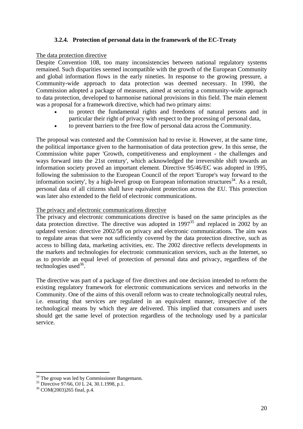#### **3.2.4. Protection of personal data in the framework of the EC-Treaty**

#### <span id="page-19-0"></span>The data protection directive

Despite Convention 108, too many inconsistencies between national regulatory systems remained. Such disparities seemed incompatible with the growth of the European Community and global information flows in the early nineties. In response to the growing pressure, a Community-wide approach to data protection was deemed necessary. In 1990, the Commission adopted a package of measures, aimed at securing a community-wide approach to data protection, developed to harmonise national provisions in this field. The main element was a proposal for a framework directive, which had two primary aims:

- to protect the fundamental rights and freedoms of natural persons and in particular their right of privacy with respect to the processing of personal data,
- to prevent barriers to the free flow of personal data across the Community.

The proposal was contested and the Commission had to revise it. However, at the same time, the political importance given to the harmonisation of data protection grew. In this sense, the Commission white paper 'Growth, competitiveness and employment - the challenges and ways forward into the 21st century', which acknowledged the irreversible shift towards an information society proved an important element. Directive 95/46/EC was adopted in 1995, following the submission to the European Council of the report 'Europe's way forward to the information society', by a high-level group on European information structures<sup>34</sup>. As a result, personal data of all citizens shall have equivalent protection across the EU. This protection was later also extended to the field of electronic communications.

#### The privacy and electronic communications directive

The privacy and electronic communications directive is based on the same principles as the data protection directive. The directive was adopted in  $1997^{35}$  and replaced in 2002 by an updated version: directive 2002/58 on privacy and electronic communications. The aim was to regulate areas that were not sufficiently covered by the data protection directive, such as access to billing data, marketing activities, etc. The 2002 directive reflects developments in the markets and technologies for electronic communication services, such as the Internet, so as to provide an equal level of protection of personal data and privacy, regardless of the technologies used $36$ .

The directive was part of a package of five directives and one decision intended to reform the existing regulatory framework for electronic communications services and networks in the Community. One of the aims of this overall reform was to create technologically neutral rules, i.e. ensuring that services are regulated in an equivalent manner, irrespective of the technological means by which they are delivered. This implied that consumers and users should get the same level of protection regardless of the technology used by a particular service.

<span id="page-19-1"></span><sup>&</sup>lt;sup>34</sup> The group was led by Commissioner Bangemann.<br><sup>35</sup> Directive 97/66, OJ L 24, 30.1.1998, p.1.<br><sup>36</sup> COM(2003)265 final, p.4.

<span id="page-19-2"></span>

<span id="page-19-3"></span>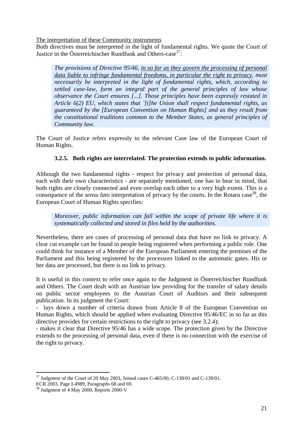<span id="page-20-0"></span>The interpretation of these Community instruments

Both directives must be interpreted in the light of fundamental rights. We quote the Court of Justice in the Österreichischer Rundfunk and Others-case  $37$ :

*The provisions of Directive 95/46, in so far as they govern the processing of personal*  data liable to infringe fundamental freedoms, in particular the right to privacy, must *necessarily be interpreted in the light of fundamental rights, which, according to settled case-law, form an integral part of the general principles of law whose observance the Court ensures [...]. Those principles have been expressly restated in Article 6(2) EU, which states that `[t]he Union shall respect fundamental rights, as guaranteed by the [European Convention on Human Rights] and as they result from the constitutional traditions common to the Member States, as general principles of Community law.* 

The Court of Justice refers expressly to the relevant Case law of the European Court of Human Rights.

### **3.2.5. Both rights are interrelated. The protection extends to public information.**

Although the two fundamental rights - respect for privacy and protection of personal data, each with their own characteristics - are separately mentioned, one has to bear in mind, that both rights are closely connected and even overlap each other to a very high extent. This is a consequence of the *sensu lato* interpretation of privacy by the courts. In the Rotaru case<sup>38</sup>, the European Court of Human Rights specifies:

*Moreover, public information can fall within the scope of private life where it is systematically collected and stored in files held by the authorities.* 

Nevertheless, there are cases of processing of personal data that have no link to privacy. A clear cut example can be found in people being registered when performing a public role. One could think for instance of a Member of the European Parliament entering the premises of the Parliament and this being registered by the processors linked to the automatic gates. His or her data are processed, but there is no link to privacy.

It is useful in this context to refer once again to the Judgment in Österreichischer Rundfunk and Others. The Court dealt with an Austrian law providing for the transfer of salary details on public sector employees to the Austrian Court of Auditors and their subsequent publication. In its judgment the Court:

lays down a number of criteria drawn from Article 8 of the European Convention on Human Rights, which should be applied when evaluating Directive 95/46/EC in so far as this directive provides for certain restrictions to the right to privacy (see 3.2.4);

- makes it clear that Directive 95/46 has a wide scope. The protection given by the Directive extends to the processing of personal data, even if there is no connection with the exercise of the right to privacy.

<span id="page-20-1"></span> $\overline{a}$  $37$  Judgment of the Court of 20 May 2003, Joined cases C-465/00, C-138/01 and C-139/01.

ECR 2003, Page I-4989, Paragraphs 68 and 69. 38 Judgment of 4 May 2000, Reports 2000-V

<span id="page-20-2"></span>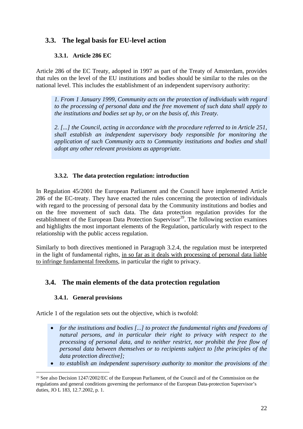## <span id="page-21-0"></span>**3.3. The legal basis for EU-level action**

### **3.3.1. Article 286 EC**

Article 286 of the EC Treaty, adopted in 1997 as part of the Treaty of Amsterdam, provides that rules on the level of the EU institutions and bodies should be similar to the rules on the national level. This includes the establishment of an independent supervisory authority:

*1. From 1 January 1999, Community acts on the protection of individuals with regard to the processing of personal data and the free movement of such data shall apply to the institutions and bodies set up by, or on the basis of, this Treaty.* 

*2. [...] the Council, acting in accordance with the procedure referred to in Article 251, shall establish an independent supervisory body responsible for monitoring the application of such Community acts to Community institutions and bodies and shall adopt any other relevant provisions as appropriate.* 

## **3.3.2. The data protection regulation: introduction**

In [Regulation 45/2001](http://www.edps.eu.int/02_en_legislation.htm) the European Parliament and the Council have implemented Article 286 of the EC-treaty. They have enacted the rules concerning the protection of individuals with regard to the processing of personal data by the Community institutions and bodies and on the free movement of such data. The data protection regulation provides for the establishment of the European Data Protection Supervisor<sup>39</sup>. The following section examines and highlights the most important elements of the Regulation, particularly with respect to the relationship with the public access regulation.

Similarly to both directives mentioned in Paragraph 3.2.4, the regulation must be interpreted in the light of fundamental rights, in so far as it deals with processing of personal data liable to infringe fundamental freedoms, in particular the right to privacy.

## **3.4. The main elements of the data protection regulation**

## **3.4.1. General provisions**

 $\overline{a}$ 

Article 1 of the regulation sets out the objective, which is twofold:

- *for the institutions and bodies [...] to protect the fundamental rights and freedoms of natural persons, and in particular their right to privacy with respect to the processing of personal data, and to neither restrict, nor prohibit the free flow of personal data between themselves or to recipients subject to [the principles of the data protection directive];*
- *to establish an independent supervisory authority to monitor the provisions of the*

<span id="page-21-1"></span><sup>39</sup> See also Decision 1247/2002/EC of the European Parliament, of the Council and of the Commission on the regulations and general conditions governing the performance of the European Data-protection Supervisor's duties, JO L 183, 12.7.2002, p. 1.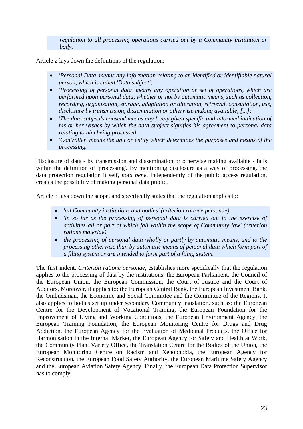*regulation to all processing operations carried out by a Community institution or body.*

Article 2 lays down the definitions of the regulation:

- *'Personal Data' means any information relating to an identified or identifiable natural person, which is called 'Data subject';*
- *'Processing of personal data' means any operation or set of operations, which are performed upon personal data, whether or not by automatic means, such as collection, recording, organisation, storage, adaptation or alteration, retrieval, consultation, use, disclosure by transmission, dissemination or otherwise making available, [...];*
- *'The data subject's consent' means any freely given specific and informed indication of his or her wishes by which the data subject signifies his agreement to personal data relating to him being processed.*
- *'Controller' means the unit or entity which determines the purposes and means of the processing.*

Disclosure of data - by transmission and dissemination or otherwise making available - falls within the definition of 'processing'. By mentioning disclosure as a way of processing, the data protection regulation it self, *nota bene*, independently of the public access regulation, creates the possibility of making personal data public.

Article 3 lays down the scope, and specifically states that the regulation applies to:

- *'all Community institutions and bodies' (criterion ratione personae)*
- *'in so far as the processing of personal data is carried out in the exercise of activities all or part of which fall within the scope of Community law' (criterion ratione materiae)*
- *the processing of personal data wholly or partly by automatic means, and to the processing otherwise than by automatic means of personal data which form part of a filing system or are intended to form part of a filing system.*

The first indent, *Criterion ratione personae*, establishes more specifically that the regulation applies to the processing of data by the institutions: the European Parliament, the Council of the European Union, the European Commission, the Court of Justice and the Court of Auditors. Moreover, it applies to: the European Central Bank, the European Investment Bank, the Ombudsman, the Economic and Social Committee and the Committee of the Regions. It also applies to bodies set up under secondary Community legislation, such as: the European Centre for the Development of Vocational Training, the European Foundation for the Improvement of Living and Working Conditions, the European Environment Agency, the European Training Foundation, the European Monitoring Centre for Drugs and Drug Addiction, the European Agency for the Evaluation of Medicinal Products, the Office for Harmonisation in the Internal Market, the European Agency for Safety and Health at Work, the Community Plant Variety Office, the Translation Centre for the Bodies of the Union, the European Monitoring Centre on Racism and Xenophobia, the European Agency for Reconstruction, the European Food Safety Authority, the European Maritime Safety Agency and the European Aviation Safety Agency. Finally, the European Data Protection Supervisor has to comply.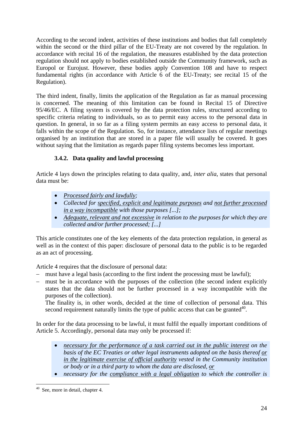<span id="page-23-0"></span>According to the second indent, activities of these institutions and bodies that fall completely within the second or the third pillar of the EU-Treaty are not covered by the regulation. In accordance with recital 16 of the regulation, the measures established by the data protection regulation should not apply to bodies established outside the Community framework, such as Europol or Eurojust. However, these bodies apply Convention 108 and have to respect fundamental rights (in accordance with Article 6 of the EU-Treaty; see recital 15 of the Regulation).

The third indent, finally, limits the application of the Regulation as far as manual processing is concerned. The meaning of this limitation can be found in Recital 15 of Directive 95/46/EC. A filing system is covered by the data protection rules, structured according to specific criteria relating to individuals, so as to permit easy access to the personal data in question. In general, in so far as a filing system permits an easy access to personal data, it falls within the scope of the Regulation. So, for instance, attendance lists of regular meetings organised by an institution that are stored in a paper file will usually be covered. It goes without saying that the limitation as regards paper filing systems becomes less important.

## **3.4.2. Data quality and lawful processing**

Article 4 lays down the principles relating to data quality, and, *inter alia*, states that personal data must be:

- *Processed fairly and lawfully;*
- *Collected for specified, explicit and legitimate purposes and not further processed in a way incompatible with those purposes [...];*
- *Adequate, relevant and not excessive in relation to the purposes for which they are collected and/or further processed; [...]*

This article constitutes one of the key elements of the data protection regulation, in general as well as in the context of this paper: disclosure of personal data to the public is to be regarded as an act of processing.

Article 4 requires that the disclosure of personal data:

- − must have a legal basis (according to the first indent the processing must be lawful);
- − must be in accordance with the purposes of the collection (the second indent explicitly states that the data should not be further processed in a way incompatible with the purposes of the collection).

The finality is, in other words, decided at the time of collection of personal data. This second requirement naturally limits the type of public access that can be granted<sup>40</sup>.

In order for the data processing to be lawful, it must fulfil the equally important conditions of Article 5. Accordingly, personal data may only be processed if:

- *necessary for the performance of a task carried out in the public interest on the basis of the EC Treaties or other legal instruments adopted on the basis thereof or in the legitimate exercise of official authority vested in the Community institution or body or in a third party to whom the data are disclosed, or*
- *necessary for the compliance with a legal obligation to which the controller is*

<span id="page-23-1"></span> $\overline{a}$  $40$  See, more in detail, chapter 4.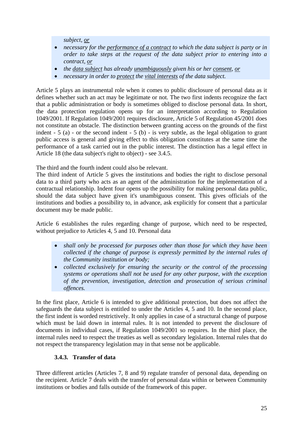*subject, or*

- <span id="page-24-0"></span>• *necessary for the <u>performance of a contract</u> to which the data subject is party or in order to take steps at the request of the data subject prior to entering into a contract, or*
- *the data subject has already unambiguously given his or her consent, or*
- *necessary in order to protect the vital interests of the data subject.*

Article 5 plays an instrumental role when it comes to public disclosure of personal data as it defines whether such an act may be legitimate or not. The two first indents recognize the fact that a public administration or body is sometimes obliged to disclose personal data. In short, the data protection regulation opens up for an interpretation according to Regulation 1049/2001. If Regulation 1049/2001 requires disclosure, Article 5 of Regulation 45/2001 does not constitute an obstacle. The distinction between granting access on the grounds of the first indent - 5 (a) - or the second indent - 5 (b) - is very subtle, as the legal obligation to grant public access is general and giving effect to this obligation constitutes at the same time the performance of a task carried out in the public interest. The distinction has a legal effect in Article 18 (the data subject's right to object) - see 3.4.5.

The third and the fourth indent could also be relevant.

The third indent of Article 5 gives the institutions and bodies the right to disclose personal data to a third party who acts as an agent of the administration for the implementation of a contractual relationship. Indent four opens up the possibility for making personal data public, should the data subject have given it's unambiguous consent. This gives officials of the institutions and bodies a possibility to, in advance, ask explicitly for consent that a particular document may be made public.

Article 6 establishes the rules regarding change of purpose, which need to be respected, without prejudice to Articles 4, 5 and 10. Personal data

- *shall only be processed for purposes other than those for which they have been collected if the change of purpose is expressly permitted by the internal rules of the Community institution or body;*
- *collected exclusively for ensuring the security or the control of the processing systems or operations shall not be used for any other purpose, with the exception of the prevention, investigation, detection and prosecution of serious criminal offences.*

In the first place, Article 6 is intended to give additional protection, but does not affect the safeguards the data subject is entitled to under the Articles 4, 5 and 10. In the second place, the first indent is worded restrictively. It only applies in case of a structural change of purpose which must be laid down in internal rules. It is not intended to prevent the disclosure of documents in individual cases, if Regulation 1049/2001 so requires. In the third place, the internal rules need to respect the treaties as well as secondary legislation. Internal rules that do not respect the transparency legislation may in that sense not be applicable.

#### **3.4.3. Transfer of data**

Three different articles (Articles 7, 8 and 9) regulate transfer of personal data, depending on the recipient. Article 7 deals with the transfer of personal data within or between Community institutions or bodies and falls outside of the framework of this paper.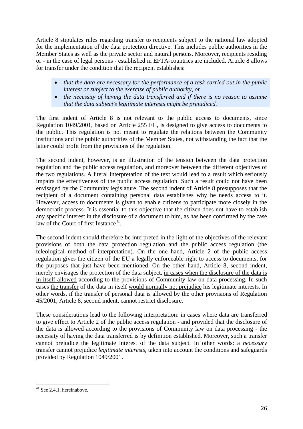Article 8 stipulates rules regarding transfer to recipients subject to the national law adopted for the implementation of the data protection directive. This includes public authorities in the Member States as well as the private sector and natural persons. Moreover, recipients residing or - in the case of legal persons - established in EFTA-countries are included. Article 8 allows for transfer under the condition that the recipient establishes:

- *that the data are necessary for the performance of a task carried out in the public interest or subject to the exercise of public authority, or*
- *the necessity of having the data transferred and if there is no reason to assume that the data subject's legitimate interests might be prejudiced.*

The first indent of Article 8 is not relevant to the public access to documents, since Regulation 1049/2001, based on Article 255 EC, is designed to give access to documents to the public. This regulation is not meant to regulate the relations between the Community institutions and the public authorities of the Member States, not withstanding the fact that the latter could profit from the provisions of the regulation.

The second indent, however, is an illustration of the tension between the data protection regulation and the public access regulation, and moreover between the different objectives of the two regulations. A literal interpretation of the text would lead to a result which seriously impairs the effectiveness of the public access regulation. Such a result could not have been envisaged by the Community legislature. The second indent of Article 8 presupposes that the recipient of a document containing personal data establishes why he needs access to it. However, access to documents is given to enable citizens to participate more closely in the democratic process. It is essential to this objective that the citizen does not have to establish any specific interest in the disclosure of a document to him, as has been confirmed by the case law of the Court of first Instance $^{41}$ .

The second indent should therefore be interpreted in the light of the objectives of the relevant provisions of both the data protection regulation and the public access regulation (the teleological method of interpretation). On the one hand, Article 2 of the public access regulation gives the citizen of the EU a legally enforceable right to access to documents, for the purposes that just have been mentioned. On the other hand, Article 8, second indent, merely envisages the protection of the data subject, in cases when the disclosure of the data is in itself allowed according to the provisions of Community law on data processing. In such cases the transfer of the data in itself would normally not prejudice his legitimate interests. In other words, if the transfer of personal data is allowed by the other provisions of Regulation 45/2001, Article 8, second indent, cannot restrict disclosure.

These considerations lead to the following interpretation: in cases where data are transferred to give effect to Article 2 of the public access regulation - and provided that the disclosure of the data is allowed according to the provisions of Community law on data processing - the necessity of having the data transferred is by definition established. Moreover, such a transfer cannot prejudice the legitimate interest of the data subject. In other words: a *necessary* transfer cannot prejudice *legitimate interests,* taken into account the conditions and safeguards provided by Regulation 1049/2001.

<span id="page-25-0"></span> $\overline{a}$  $41$  See 2.4.1. hereinabove.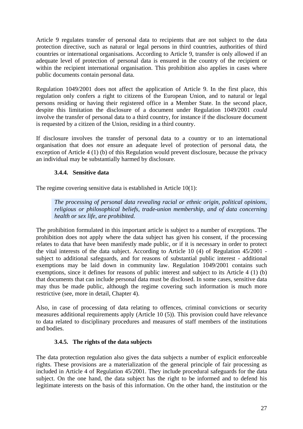<span id="page-26-0"></span>Article 9 regulates transfer of personal data to recipients that are not subject to the data protection directive, such as natural or legal persons in third countries, authorities of third countries or international organisations. According to Article 9, transfer is only allowed if an adequate level of protection of personal data is ensured in the country of the recipient or within the recipient international organisation. This prohibition also applies in cases where public documents contain personal data.

Regulation 1049/2001 does not affect the application of Article 9. In the first place, this regulation only confers a right to citizens of the European Union, and to natural or legal persons residing or having their registered office in a Member State. In the second place, despite this limitation the disclosure of a document under Regulation 1049/2001 *could* involve the transfer of personal data to a third country, for instance if the disclosure document is requested by a citizen of the Union, residing in a third country.

If disclosure involves the transfer of personal data to a country or to an international organisation that does *not* ensure an adequate level of protection of personal data, the exception of Article 4 (1) (b) of this Regulation would prevent disclosure, because the privacy an individual may be substantially harmed by disclosure.

### **3.4.4. Sensitive data**

The regime covering sensitive data is established in Article 10(1):

*The processing of personal data revealing racial or ethnic origin, political opinions, religious or philosophical beliefs, trade-union membership, and of data concerning health or sex life, are prohibited.* 

The prohibition formulated in this important article is subject to a number of exceptions. The prohibition does not apply where the data subject has given his consent, if the processing relates to data that have been manifestly made public, or if it is necessary in order to protect the vital interests of the data subject. According to Article 10 (4) of Regulation 45/2001 subject to additional safeguards, and for reasons of substantial public interest - additional exemptions may be laid down in community law. Regulation 1049/2001 contains such exemptions, since it defines for reasons of public interest and subject to its Article 4 (1) (b) that documents that can include personal data must be disclosed. In some cases, sensitive data may thus be made public, although the regime covering such information is much more restrictive (see, more in detail, Chapter 4).

Also, in case of processing of data relating to offences, criminal convictions or security measures additional requirements apply (Article 10 (5)). This provision could have relevance to data related to disciplinary procedures and measures of staff members of the institutions and bodies.

#### **3.4.5. The rights of the data subjects**

The data protection regulation also gives the data subjects a number of explicit enforceable rights. These provisions are a materialization of the general principle of fair processing as included in Article 4 of Regulation 45/2001. They include procedural safeguards for the data subject. On the one hand, the data subject has the right to be informed and to defend his legitimate interests on the basis of this information. On the other hand, the institution or the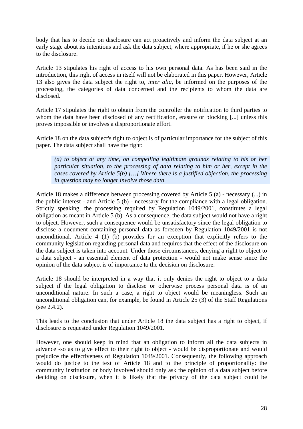body that has to decide on disclosure can act proactively and inform the data subject at an early stage about its intentions and ask the data subject, where appropriate, if he or she agrees to the disclosure.

Article 13 stipulates his right of access to his own personal data. As has been said in the introduction, this right of access in itself will not be elaborated in this paper. However, Article 13 also gives the data subject the right to, *inter alia*, be informed on the purposes of the processing, the categories of data concerned and the recipients to whom the data are disclosed.

Article 17 stipulates the right to obtain from the controller the notification to third parties to whom the data have been disclosed of any rectification, erasure or blocking [...] unless this proves impossible or involves a disproportionate effort.

Article 18 on the data subject's right to object is of particular importance for the subject of this paper. The data subject shall have the right:

*(a) to object at any time, on compelling legitimate grounds relating to his or her particular situation, to the processing of data relating to him or her, except in the cases covered by Article 5(b) […] Where there is a justified objection, the processing in question may no longer involve those data.*

Article 18 makes a difference between processing covered by Article 5 (a) - necessary (...) in the public interest - and Article 5 (b) - necessary for the compliance with a legal obligation. Strictly speaking, the processing required by Regulation 1049/2001, constitutes a legal obligation as meant in Article 5 (b). As a consequence, the data subject would not have a right to object. However, such a consequence would be unsatisfactory since the legal obligation to disclose a document containing personal data as foreseen by Regulation 1049/2001 is not unconditional. Article 4 (1) (b) provides for an exception that explicitly refers to the community legislation regarding personal data and requires that the effect of the disclosure on the data subject is taken into account. Under those circumstances, denying a right to object to a data subject - an essential element of data protection - would not make sense since the opinion of the data subject is of importance to the decision on disclosure.

Article 18 should be interpreted in a way that it only denies the right to object to a data subject if the legal obligation to disclose or otherwise process personal data is of an unconditional nature. In such a case, a right to object would be meaningless. Such an unconditional obligation can, for example, be found in Article 25 (3) of the Staff Regulations (see 2.4.2).

This leads to the conclusion that under Article 18 the data subject has a right to object, if disclosure is requested under Regulation 1049/2001.

However, one should keep in mind that an obligation to inform all the data subjects in advance -so as to give effect to their right to object - would be disproportionate and would prejudice the effectiveness of Regulation 1049/2001. Consequently, the following approach would do justice to the text of Article 18 and to the principle of proportionality: the community institution or body involved should only ask the opinion of a data subject before deciding on disclosure, when it is likely that the privacy of the data subject could be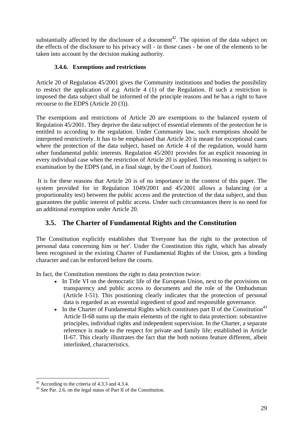<span id="page-28-0"></span>substantially affected by the disclosure of a document<sup>42</sup>. The opinion of the data subject on the effects of the disclosure to his privacy will - in those cases - be one of the elements to be taken into account by the decision making authority.

### **3.4.6. Exemptions and restrictions**

Article 20 of Regulation 45/2001 gives the Community institutions and bodies the possibility to restrict the application of *e.g.* Article 4 (1) of the Regulation. If such a restriction is imposed the data subject shall be informed of the principle reasons and he has a right to have recourse to the EDPS (Article 20 (3)).

The exemptions and restrictions of Article 20 are exemptions to the balanced system of Regulation 45/2001. They deprive the data subject of essential elements of the protection he is entitled to according to the regulation. Under Community law, such exemptions should be interpreted restrictively. It has to be emphasised that Article 20 is meant for exceptional cases where the protection of the data subject, based on Article 4 of the regulation, would harm other fundamental public interests. Regulation 45/2001 provides for an explicit reasoning in every individual case when the restriction of Article 20 is applied. This reasoning is subject to examination by the EDPS (and, in a final stage, by the Court of Justice).

It is for these reasons that Article 20 is of no importance in the context of this paper. The system provided for in Regulation 1049/2001 and 45/2001 allows a balancing (or a proportionality test) between the public access and the protection of the data subject, and thus guarantees the public interest of public access. Under such circumstances there is no need for an additional exemption under Article 20.

## **3.5. The Charter of Fundamental Rights and the Constitution**

The Constitution explicitly establishes that 'Everyone has the right to the protection of personal data concerning him or her'. Under the Constitution this right, which has already been recognised in the existing Charter of Fundamental Rights of the Union, gets a binding character and can be enforced before the courts.

In fact, the Constitution mentions the right to data protection twice:

- In Title VI on the democratic life of the European Union, next to the provisions on transparency and public access to documents and the role of the Ombudsman (Article I-51). This positioning clearly indicates that the protection of personal data is regarded as an essential ingredient of good and responsible governance.
- In the Charter of Fundamental Rights which constitutes part II of the Constitution<sup>43</sup> Article II-68 sums up the main elements of the right to data protection: substantive principles, individual rights and independent supervision. In the Charter, a separate reference is made to the respect for private and family life; established in Article II-67. This clearly illustrates the fact that the both notions feature different, albeit interlinked, characteristics.

<span id="page-28-2"></span><span id="page-28-1"></span>

<sup>&</sup>lt;sup>42</sup> According to the criteria of 4.3.3 and 4.3.4.  $43$  See Par. 2.6, on the legal status of Part II of the Constitution.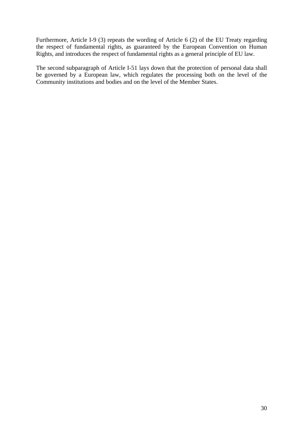Furthermore, Article I-9 (3) repeats the wording of Article 6 (2) of the EU Treaty regarding the respect of fundamental rights, as guaranteed by the European Convention on Human Rights, and introduces the respect of fundamental rights as a general principle of EU law.

The second subparagraph of Article I-51 lays down that the protection of personal data shall be governed by a European law, which regulates the processing both on the level of the Community institutions and bodies and on the level of the Member States.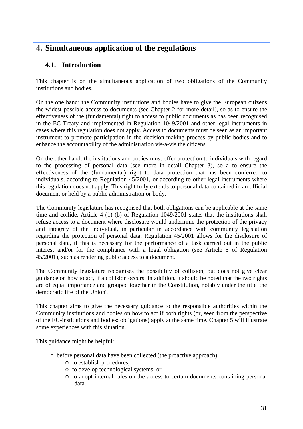## <span id="page-30-0"></span>**4. Simultaneous application of the regulations**

## **4.1. Introduction**

This chapter is on the simultaneous application of two obligations of the Community institutions and bodies.

On the one hand: the Community institutions and bodies have to give the European citizens the widest possible access to documents (see Chapter 2 for more detail), so as to ensure the effectiveness of the (fundamental) right to access to public documents as has been recognised in the EC-Treaty and implemented in Regulation 1049/2001 and other legal instruments in cases where this regulation does not apply. Access to documents must be seen as an important instrument to promote participation in the decision-making process by public bodies and to enhance the accountability of the administration vis-à-vis the citizens.

On the other hand: the institutions and bodies must offer protection to individuals with regard to the processing of personal data (see more in detail Chapter 3), so a to ensure the effectiveness of the (fundamental) right to data protection that has been conferred to individuals, according to Regulation 45/2001, or according to other legal instruments where this regulation does not apply. This right fully extends to personal data contained in an official document or held by a public administration or body.

The Community legislature has recognised that both obligations can be applicable at the same time and collide. Article 4 (1) (b) of Regulation 1049/2001 states that the institutions shall refuse access to a document where disclosure would undermine the protection of the privacy and integrity of the individual, in particular in accordance with community legislation regarding the protection of personal data. Regulation 45/2001 allows for the disclosure of personal data, if this is necessary for the performance of a task carried out in the public interest and/or for the compliance with a legal obligation (see Article 5 of Regulation 45/2001), such as rendering public access to a document.

The Community legislature recognises the possibility of collision, but does not give clear guidance on how to act, if a collision occurs. In addition, it should be noted that the two rights are of equal importance and grouped together in the Constitution, notably under the title 'the democratic life of the Union'.

This chapter aims to give the necessary guidance to the responsible authorities within the Community institutions and bodies on how to act if both rights (or, seen from the perspective of the EU-institutions and bodies: obligations) apply at the same time. Chapter 5 will illustrate some experiences with this situation.

This guidance might be helpful:

- \* before personal data have been collected (the proactive approach):
	- o to establish procedures,
	- o to develop technological systems, or
	- o to adopt internal rules on the access to certain documents containing personal data.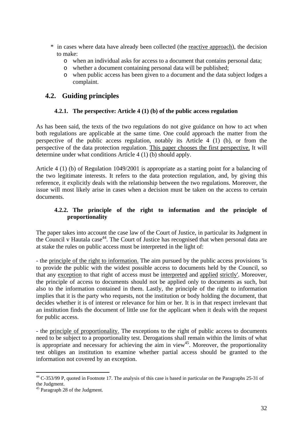- <span id="page-31-0"></span>\* in cases where data have already been collected (the reactive approach), the decision to make:
	- o when an individual asks for access to a document that contains personal data;
	- o whether a document containing personal data will be published;
	- o when public access has been given to a document and the data subject lodges a complaint.

## **4.2. Guiding principles**

### **4.2.1. The perspective: Article 4 (1) (b) of the public access regulation**

As has been said, the texts of the two regulations do not give guidance on how to act when both regulations are applicable at the same time. One could approach the matter from the perspective of the public access regulation, notably its Article 4 (1) (b), or from the perspective of the data protection regulation. This paper chooses the first perspective. It will determine under what conditions Article 4 (1) (b) should apply.

Article 4 (1) (b) of Regulation 1049/2001 is appropriate as a starting point for a balancing of the two legitimate interests. It refers to the data protection regulation, and, by giving this reference, it explicitly deals with the relationship between the two regulations. Moreover, the issue will most likely arise in cases when a decision must be taken on the access to certain documents.

### **4.2.2. The principle of the right to information and the principle of proportionality**

The paper takes into account the case law of the Court of Justice, in particular its Judgment in the Council v Hautala case<sup>44</sup>. The Court of Justice has recognised that when personal data are at stake the rules on public access must be interpreted in the light of:

- the principle of the right to information. The aim pursued by the public access provisions 'is to provide the public with the widest possible access to documents held by the Council, so that any exception to that right of access must be interpreted and applied strictly'. Moreover, the principle of access to documents should not be applied only to documents as such, but also to the information contained in them. Lastly, the principle of the right to information implies that it is the party who requests, not the institution or body holding the document, that decides whether it is of interest or relevance for him or her. It is in that respect irrelevant that an institution finds the document of little use for the applicant when it deals with the request for public access.

- the principle of proportionality. The exceptions to the right of public access to documents need to be subject to a proportionality test. Derogations shall remain within the limits of what is appropriate and necessary for achieving the aim in view<sup>45</sup>. Moreover, the proportionality test obliges an institution to examine whether partial access should be granted to the information not covered by an exception.

<span id="page-31-1"></span> $\overline{a}$  $44$  C-353/99 P, quoted in Footnote 17. The analysis of this case is based in particular on the Paragraphs 25-31 of the Judgment.<br><sup>45</sup> Paragraph 28 of the Judgment.

<span id="page-31-2"></span>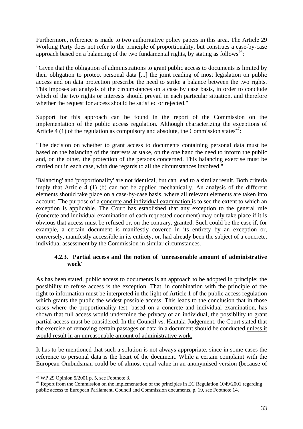<span id="page-32-0"></span>Furthermore, reference is made to two authoritative policy papers in this area. The Article 29 Working Party does not refer to the principle of proportionality, but construes a case-by-case approach based on a balancing of the two fundamental rights, by stating as follows<sup>46</sup>:

"Given that the obligation of administrations to grant public access to documents is limited by their obligation to protect personal data [...] the joint reading of most legislation on public access and on data protection prescribe the need to strike a balance between the two rights. This imposes an analysis of the circumstances on a case by case basis, in order to conclude which of the two rights or interests should prevail in each particular situation, and therefore whether the request for access should be satisfied or rejected."

Support for this approach can be found in the report of the Commission on the implementation of the public access regulation. Although characterizing the exceptions of Article 4 (1) of the regulation as compulsory and absolute, the Commission states<sup>47</sup>:

"The decision on whether to grant access to documents containing personal data must be based on the balancing of the interests at stake, on the one hand the need to inform the public and, on the other, the protection of the persons concerned. This balancing exercise must be carried out in each case, with due regards to all the circumstances involved."

'Balancing' and 'proportionality' are not identical, but can lead to a similar result. Both criteria imply that Article 4 (1) (b) can not be applied mechanically. An analysis of the different elements should take place on a case-by-case basis, where all relevant elements are taken into account. The purpose of a concrete and individual examination is to see the extent to which an exception is applicable. The Court has established that any exception to the general rule (concrete and individual examination of each requested document) may only take place if it is obvious that access must be refused or, on the contrary, granted. Such could be the case if, for example, a certain document is manifestly covered in its entirety by an exception or, conversely, manifestly accessible in its entirety, or, had already been the subject of a concrete, individual assessment by the Commission in similar circumstances.

#### **4.2.3. Partial access and the notion of 'unreasonable amount of administrative work'**

As has been stated, public access to documents is an approach to be adopted in principle; the possibility to refuse access is the exception. That, in combination with the principle of the right to information must be interpreted in the light of Article 1 of the public access regulation which grants the public the widest possible access. This leads to the conclusion that in those cases where the proportionality test, based on a concrete and individual examination, has shown that full access would undermine the privacy of an individual, the possibility to grant partial access must be considered. In the Council vs. Hautala-Judgement, the Court stated that the exercise of removing certain passages or data in a document should be conducted unless it would result in an unreasonable amount of administrative work.

It has to be mentioned that such a solution is not always appropriate, since in some cases the reference to personal data is the heart of the document. While a certain complaint with the European Ombudsman could be of almost equal value in an anonymised version (because of

<span id="page-32-1"></span><sup>46</sup> WP 29 Opinion 5/2001 p. 5, see Footnote 3.

<span id="page-32-2"></span><sup>&</sup>lt;sup>47</sup> Report from the Commission on the implementation of the principles in EC Regulation 1049/2001 regarding public access to European Parliament, Council and Commission documents, p. 19, see Footnote 14.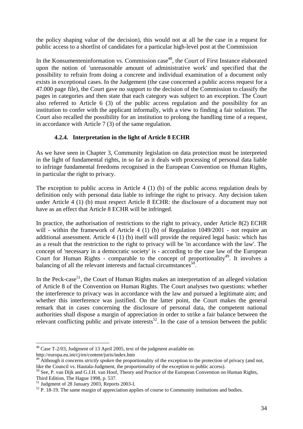<span id="page-33-0"></span>the policy shaping value of the decision), this would not at all be the case in a request for public access to a shortlist of candidates for a particular high-level post at the Commission

In the Konsumenteninformation vs. Commission case<sup>48</sup>, the Court of First Instance elaborated upon the notion of 'unreasonable amount of administrative work' and specified that the possibility to refrain from doing a concrete and individual examination of a document only exists in exceptional cases. In the Judgement (the case concerned a public access request for a 47.000 page file), the Court gave no support to the decision of the Commission to classify the pages in categories and then state that each category was subject to an exception. The Court also referred to Article 6 (3) of the public access regulation and the possibility for an institution to confer with the applicant informally, with a view to finding a fair solution. The Court also recalled the possibility for an institution to prolong the handling time of a request, in accordance with Article 7 (3) of the same regulation.

### **4.2.4. Interpretation in the light of Article 8 ECHR**

As we have seen in Chapter 3, Community legislation on data protection must be interpreted in the light of fundamental rights, in so far as it deals with processing of personal data liable to infringe fundamental freedoms recognised in the European Convention on Human Rights, in particular the right to privacy.

The exception to public access in Article 4 (1) (b) of the public access regulation deals by definition only with personal data liable to infringe the right to privacy. Any decision taken under Article 4 (1) (b) must respect Article 8 ECHR: the disclosure of a document may not have as an effect that Article 8 ECHR will be infringed.

In practice, the authorisation of restrictions to the right to privacy, under Article 8(2) ECHR will - within the framework of Article 4 (1) (b) of Regulation  $1049/2001$  - not require an additional assessment. Article 4 (1) (b) itself will provide the required legal basis: which has as a result that the restriction to the right to privacy will be 'in accordance with the law'. The concept of 'necessary in a democratic society' is - according to the case law of the European Court for Human Rights - comparable to the concept of proportionality<sup>49</sup>. It involves a balancing of all the relevant interests and factual circumstances<sup>50</sup>.

In the Peck-case<sup>51</sup>, the Court of Human Rights makes an interpretation of an alleged violation of Article 8 of the Convention on Human Rights. The Court analyses two questions: whether the interference to privacy was in accordance with the law and pursued a legitimate aim; and whether this interference was justified. On the latter point, the Court makes the general remark that in cases concerning the disclosure of personal data, the competent national authorities shall dispose a margin of appreciation in order to strike a fair balance between the relevant conflicting public and private interests<sup>52</sup>. In the case of a tension between the public

<span id="page-33-1"></span> $48$  Case T-2/03, Judgment of 13 April 2005, text of the judgment available on:

http://europa.eu.int/cj/en/content/juris/index.htm

<span id="page-33-2"></span><sup>&</sup>lt;sup>49</sup> Although it concerns *strictly spoken* the proportionality of the exception to the protection of privacy (and not, like the Council vs. Hautala-Judgment, the proportionality of the exception to public access).

<span id="page-33-3"></span> $10^{50}$  See, P. van Dijk and G.J.H. van Hoof, Theory and Practice of the European Convention on Human Rights,

<span id="page-33-5"></span><span id="page-33-4"></span>

Third Edition, The Hague 1998, p. 537.<br><sup>51</sup> Judgment of 28 January 2003, Reports 2003-I.<br><sup>52</sup> P. 18-19. The same margin of appreciation applies of course to Community institutions and bodies.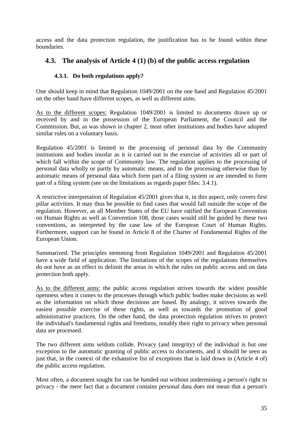<span id="page-34-0"></span>access and the data protection regulation, the justification has to be found within these boundaries.

## **4.3. The analysis of Article 4 (1) (b) of the public access regulation**

### **4.3.1. Do both regulations apply?**

One should keep in mind that Regulation 1049/2001 on the one hand and Regulation 45/2001 on the other hand have different scopes, as well as different aims.

As to the different scopes: Regulation 1049/2001 is limited to documents drawn up or received by and in the possession of the European Parliament, the Council and the Commission. But, as was shown in chapter 2, most other institutions and bodies have adopted similar rules on a voluntary basis.

Regulation 45/2001 is limited to the processing of personal data by the Community institutions and bodies insofar as it is carried out in the exercise of activities all or part of which fall within the scope of Community law. The regulation applies to the processing of personal data wholly or partly by automatic means, and to the processing otherwise than by automatic means of personal data which form part of a filing system or are intended to form part of a filing system (see on the limitations as regards paper files: 3.4.1).

A restrictive interpretation of Regulation 45/2001 gives that it, in this aspect, only covers first pillar activities. It may thus be possible to find cases that would fall outside the scope of the regulation. However, as all Member States of the EU have ratified the European Convention on Human Rights as well as Convention 108, those cases would still be guided by these two conventions, as interpreted by the case law of the European Court of Human Rights. Furthermore, support can be found in Article 8 of the Charter of Fundamental Rights of the European Union.

Summarized: The principles stemming from Regulation 1049/2001 and Regulation 45/2001 have a wide field of application. The limitations of the scopes of the regulations themselves do not have as an effect to delimit the areas in which the rules on public access and on data protection both apply.

As to the different aims: the public access regulation strives towards the widest possible openness when it comes to the processes through which public bodies make decisions as well as the information on which those decisions are based. By analogy, it strives towards the easiest possible exercise of these rights, as well as towards the promotion of good administrative practices. On the other hand, the data protection regulation strives to protect the individual's fundamental rights and freedoms, notably their right to privacy when personal data are processed.

The two different aims seldom collide. Privacy (and integrity) of the individual is but one exception to the automatic granting of public access to documents, and it should be seen as just that, in the context of the exhaustive list of exceptions that is laid down in (Article 4 of) the public access regulation.

Most often, a document sought for can be handed out without undermining a person's right to privacy - the mere fact that a document contains personal data does not mean that a person's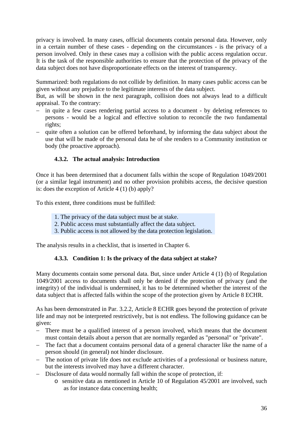<span id="page-35-0"></span>privacy is involved. In many cases, official documents contain personal data. However, only in a certain number of these cases - depending on the circumstances - is the privacy of a person involved. Only in these cases may a collision with the public access regulation occur. It is the task of the responsible authorities to ensure that the protection of the privacy of the data subject does not have disproportionate effects on the interest of transparency.

Summarized: both regulations do not collide by definition. In many cases public access can be given without any prejudice to the legitimate interests of the data subject.

But, as will be shown in the next paragraph, collision does not always lead to a difficult appraisal. To the contrary:

- − in quite a few cases rendering partial access to a document by deleting references to persons - would be a logical and effective solution to reconcile the two fundamental rights;
- − quite often a solution can be offered beforehand, by informing the data subject about the use that will be made of the personal data he of she renders to a Community institution or body (the proactive approach).

### **4.3.2. The actual analysis: Introduction**

Once it has been determined that a document falls within the scope of Regulation 1049/2001 (or a similar legal instrument) and no other provision prohibits access, the decisive question is: does the exception of Article 4 (1) (b) apply?

To this extent, three conditions must be fulfilled:

- 1. The privacy of the data subject must be at stake.
- 2. Public access must substantially affect the data subject.
- 3. Public access is not allowed by the data protection legislation.

The analysis results in a checklist, that is inserted in Chapter 6.

### **4.3.3. Condition 1: Is the privacy of the data subject at stake?**

Many documents contain some personal data. But, since under Article 4 (1) (b) of Regulation 1049/2001 access to documents shall only be denied if the protection of privacy (and the integrity) of the individual is undermined, it has to be determined whether the interest of the data subject that is affected falls within the scope of the protection given by Article 8 ECHR.

As has been demonstrated in Par. 3.2.2, Article 8 ECHR goes beyond the protection of private life and may not be interpreted restrictively, but is not endless. The following guidance can be given:

- There must be a qualified interest of a person involved, which means that the document must contain details about a person that are normally regarded as "personal" or "private".
- − The fact that a document contains personal data of a general character like the name of a person should (in general) not hinder disclosure.
- − The notion of private life does not exclude activities of a professional or business nature, but the interests involved may have a different character.
- − Disclosure of data would normally fall within the scope of protection, if:
	- o sensitive data as mentioned in Article 10 of Regulation 45/2001 are involved, such as for instance data concerning health;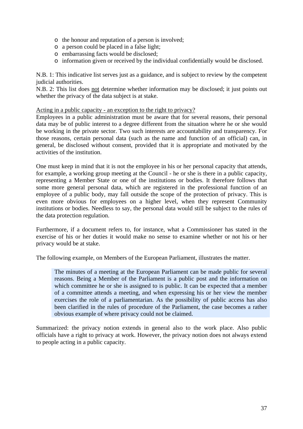- o the honour and reputation of a person is involved;
- o a person could be placed in a false light;
- o embarrassing facts would be disclosed;
- o information given or received by the individual confidentially would be disclosed.

N.B. 1: This indicative list serves just as a guidance, and is subject to review by the competent judicial authorities.

N.B. 2: This list does not determine whether information may be disclosed; it just points out whether the privacy of the data subject is at stake.

#### Acting in a public capacity - an exception to the right to privacy?

Employees in a public administration must be aware that for several reasons, their personal data may be of public interest to a degree different from the situation where he or she would be working in the private sector. Two such interests are accountability and transparency. For those reasons, certain personal data (such as the name and function of an official) can, in general, be disclosed without consent, provided that it is appropriate and motivated by the activities of the institution.

One must keep in mind that it is not the employee in his or her personal capacity that attends, for example, a working group meeting at the Council - he or she is there in a public capacity, representing a Member State or one of the institutions or bodies. It therefore follows that some more general personal data, which are registered in the professional function of an employee of a public body, may fall outside the scope of the protection of privacy. This is even more obvious for employees on a higher level, when they represent Community institutions or bodies. Needless to say, the personal data would still be subject to the rules of the data protection regulation.

Furthermore, if a document refers to, for instance, what a Commissioner has stated in the exercise of his or her duties it would make no sense to examine whether or not his or her privacy would be at stake.

The following example, on Members of the European Parliament, illustrates the matter.

The minutes of a meeting at the European Parliament can be made public for several reasons. Being a Member of the Parliament is a public post and the information on which committee he or she is assigned to is public. It can be expected that a member of a committee attends a meeting, and when expressing his or her view the member exercises the role of a parliamentarian. As the possibility of public access has also been clarified in the rules of procedure of the Parliament, the case becomes a rather obvious example of where privacy could not be claimed.

Summarized: the privacy notion extends in general also to the work place. Also public officials have a right to privacy at work. However, the privacy notion does not always extend to people acting in a public capacity.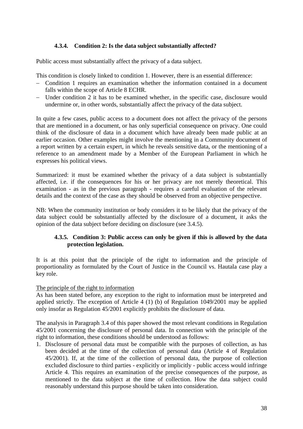### **4.3.4. Condition 2: Is the data subject substantially affected?**

<span id="page-37-0"></span>Public access must substantially affect the privacy of a data subject.

This condition is closely linked to condition 1. However, there is an essential difference:

- − Condition 1 requires an examination whether the information contained in a document falls within the scope of Article 8 ECHR.
- − Under condition 2 it has to be examined whether, in the specific case, disclosure would undermine or, in other words, substantially affect the privacy of the data subject.

In quite a few cases, public access to a document does not affect the privacy of the persons that are mentioned in a document, or has only superficial consequence on privacy. One could think of the disclosure of data in a document which have already been made public at an earlier occasion. Other examples might involve the mentioning in a Community document of a report written by a certain expert, in which he reveals sensitive data, or the mentioning of a reference to an amendment made by a Member of the European Parliament in which he expresses his political views.

Summarized: it must be examined whether the privacy of a data subject is substantially affected, i.e. if the consequences for his or her privacy are not merely theoretical. This examination - as in the previous paragraph - requires a careful evaluation of the relevant details and the context of the case as they should be observed from an objective perspective.

NB: When the community institution or body considers it to be likely that the privacy of the data subject could be substantially affected by the disclosure of a document, it asks the opinion of the data subject before deciding on disclosure (see 3.4.5).

### **4.3.5. Condition 3: Public access can only be given if this is allowed by the data protection legislation.**

It is at this point that the principle of the right to information and the principle of proportionality as formulated by the Court of Justice in the Council vs. Hautala case play a key role.

#### The principle of the right to information

As has been stated before, any exception to the right to information must be interpreted and applied strictly. The exception of Article 4 (1) (b) of Regulation 1049/2001 may be applied only insofar as Regulation 45/2001 explicitly prohibits the disclosure of data.

The analysis in Paragraph 3.4 of this paper showed the most relevant conditions in Regulation 45/2001 concerning the disclosure of personal data. In connection with the principle of the right to information, these conditions should be understood as follows:

1. Disclosure of personal data must be compatible with the purposes of collection, as has been decided at the time of the collection of personal data (Article 4 of Regulation 45/2001). If, at the time of the collection of personal data, the purpose of collection excluded disclosure to third parties - explicitly or implicitly - public access would infringe Article 4. This requires an examination of the precise consequences of the purpose, as mentioned to the data subject at the time of collection. How the data subject could reasonably understand this purpose should be taken into consideration.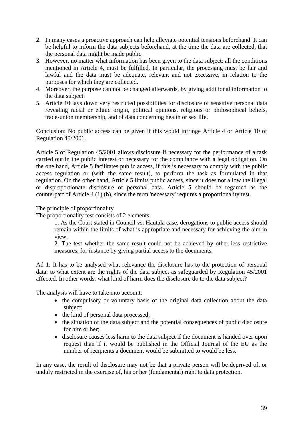- 2. In many cases a proactive approach can help alleviate potential tensions beforehand. It can be helpful to inform the data subjects beforehand, at the time the data are collected, that the personal data might be made public.
- 3. However, no matter what information has been given to the data subject: all the conditions mentioned in Article 4, must be fulfilled. In particular, the processing must be fair and lawful and the data must be adequate, relevant and not excessive, in relation to the purposes for which they are collected.
- 4. Moreover, the purpose can not be changed afterwards, by giving additional information to the data subject.
- 5. Article 10 lays down very restricted possibilities for disclosure of sensitive personal data revealing racial or ethnic origin, political opinions, religious or philosophical beliefs, trade-union membership, and of data concerning health or sex life.

Conclusion: No public access can be given if this would infringe Article 4 or Article 10 of Regulation 45/2001.

Article 5 of Regulation 45/2001 allows disclosure if necessary for the performance of a task carried out in the public interest or necessary for the compliance with a legal obligation. On the one hand, Article 5 facilitates public access, if this is necessary to comply with the public access regulation or (with the same result), to perform the task as formulated in that regulation. On the other hand, Article 5 limits public access, since it does not allow the illegal or disproportionate disclosure of personal data. Article 5 should be regarded as the counterpart of Article 4 (1) (b), since the term 'necessary' requires a proportionality test.

#### The principle of proportionality

The proportionality test consists of 2 elements:

1. As the Court stated in Council vs. Hautala case, derogations to public access should remain within the limits of what is appropriate and necessary for achieving the aim in view.

2. The test whether the same result could not be achieved by other less restrictive measures, for instance by giving partial access to the documents.

Ad 1: It has to be analysed what relevance the disclosure has to the protection of personal data: to what extent are the rights of the data subject as safeguarded by Regulation 45/2001 affected. In other words: what kind of harm does the disclosure do to the data subject?

The analysis will have to take into account:

- the compulsory or voluntary basis of the original data collection about the data subject;
- the kind of personal data processed;
- the situation of the data subject and the potential consequences of public disclosure for him or her;
- disclosure causes less harm to the data subject if the document is handed over upon request than if it would be published in the Official Journal of the EU as the number of recipients a document would be submitted to would be less.

In any case, the result of disclosure may not be that a private person will be deprived of, or unduly restricted in the exercise of, his or her (fundamental) right to data protection.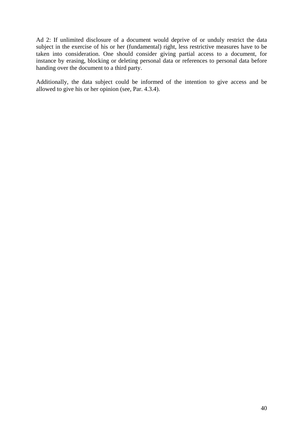Ad 2: If unlimited disclosure of a document would deprive of or unduly restrict the data subject in the exercise of his or her (fundamental) right, less restrictive measures have to be taken into consideration. One should consider giving partial access to a document, for instance by erasing, blocking or deleting personal data or references to personal data before handing over the document to a third party.

Additionally, the data subject could be informed of the intention to give access and be allowed to give his or her opinion (see, Par. 4.3.4).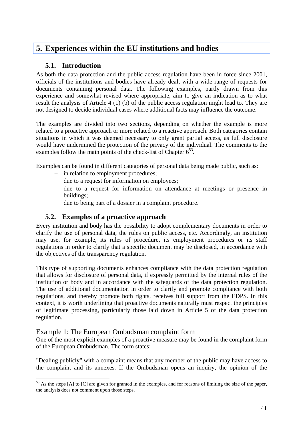## <span id="page-40-0"></span>**5. Experiences within the EU institutions and bodies**

## **5.1. Introduction**

As both the data protection and the public access regulation have been in force since 2001, officials of the institutions and bodies have already dealt with a wide range of requests for documents containing personal data. The following examples, partly drawn from this experience and somewhat revised where appropriate, aim to give an indication as to what result the analysis of Article 4 (1) (b) of the public access regulation might lead to. They are not designed to decide individual cases where additional facts may influence the outcome.

The examples are divided into two sections, depending on whether the example is more related to a proactive approach or more related to a reactive approach. Both categories contain situations in which it was deemed necessary to only grant partial access, as full disclosure would have undermined the protection of the privacy of the individual. The comments to the examples follow the main points of the check-list of Chapter  $6^{53}$ .

Examples can be found in different categories of personal data being made public, such as:

- − in relation to employment procedures;
- − due to a request for information on employees;
- − due to a request for information on attendance at meetings or presence in buildings;
- − due to being part of a dossier in a complaint procedure.

## **5.2. Examples of a proactive approach**

Every institution and body has the possibility to adopt complementary documents in order to clarify the use of personal data, the rules on public access, etc. Accordingly, an institution may use, for example, its rules of procedure, its employment procedures or its staff regulations in order to clarify that a specific document may be disclosed, in accordance with the objectives of the transparency regulation.

This type of supporting documents enhances compliance with the data protection regulation that allows for disclosure of personal data, if expressly permitted by the internal rules of the institution or body and in accordance with the safeguards of the data protection regulation. The use of additional documentation in order to clarify and promote compliance with both regulations, and thereby promote both rights, receives full support from the EDPS. In this context, it is worth underlining that proactive documents naturally must respect the principles of legitimate processing, particularly those laid down in Article 5 of the data protection regulation.

### Example 1: The European Ombudsman complaint form

 $\overline{a}$ 

One of the most explicit examples of a proactive measure may be found in the complaint form of the European Ombudsman. The form states:

"Dealing publicly" with a complaint means that any member of the public may have access to the complaint and its annexes. If the Ombudsman opens an inquiry, the opinion of the

<span id="page-40-1"></span><sup>&</sup>lt;sup>53</sup> As the steps [A] to [C] are given for granted in the examples, and for reasons of limiting the size of the paper, the analysis does not comment upon those steps.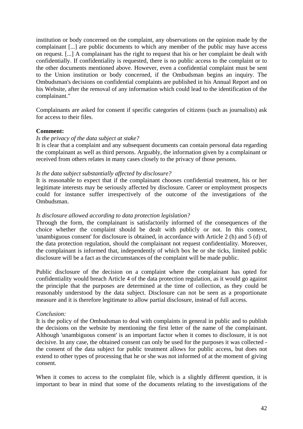institution or body concerned on the complaint, any observations on the opinion made by the complainant [...] are public documents to which any member of the public may have access on request. [...] A complainant has the right to request that his or her complaint be dealt with confidentially. If confidentiality is requested, there is no public access to the complaint or to the other documents mentioned above. However, even a confidential complaint must be sent to the Union institution or body concerned, if the Ombudsman begins an inquiry. The Ombudsman's decisions on confidential complaints are published in his Annual Report and on his Website, after the removal of any information which could lead to the identification of the complainant."

Complainants are asked for consent if specific categories of citizens (such as journalists) ask for access to their files.

#### **Comment:**

#### *Is the privacy of the data subject at stake?*

It is clear that a complaint and any subsequent documents can contain personal data regarding the complainant as well as third persons. Arguably, the information given by a complainant or received from others relates in many cases closely to the privacy of those persons.

#### *Is the data subject substantially affected by disclosure?*

It is reasonable to expect that if the complainant chooses confidential treatment, his or her legitimate interests may be seriously affected by disclosure. Career or employment prospects could for instance suffer irrespectively of the outcome of the investigations of the Ombudsman.

#### *Is disclosure allowed according to data protection legislation?*

Through the form, the complainant is satisfactorily informed of the consequences of the choice whether the complaint should be dealt with publicly or not. In this context, 'unambiguous consent' for disclosure is obtained, in accordance with Article 2 (h) and 5 (d) of the data protection regulation, should the complainant not request confidentiality. Moreover, the complainant is informed that, independently of which box he or she ticks, limited public disclosure will be a fact as the circumstances of the complaint will be made public.

Public disclosure of the decision on a complaint where the complainant has opted for confidentiality would breach Article 4 of the data protection regulation, as it would go against the principle that the purposes are determined at the time of collection, as they could be reasonably understood by the data subject. Disclosure can not be seen as a proportionate measure and it is therefore legitimate to allow partial disclosure, instead of full access.

#### *Conclusion:*

It is the policy of the Ombudsman to deal with complaints in general in public and to publish the decisions on the website by mentioning the first letter of the name of the complainant. Although 'unambiguous consent' is an important factor when it comes to disclosure, it is not decisive. In any case, the obtained consent can only be used for the purposes it was collected the consent of the data subject for public treatment allows for public access, but does not extend to other types of processing that he or she was not informed of at the moment of giving consent.

When it comes to access to the complaint file, which is a slightly different question, it is important to bear in mind that some of the documents relating to the investigations of the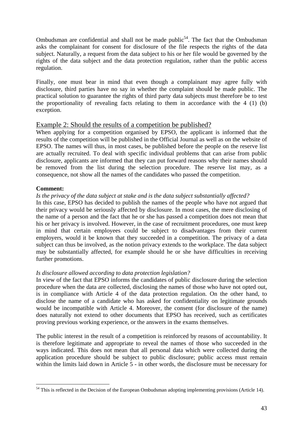Ombudsman are confidential and shall not be made public<sup>54</sup>. The fact that the Ombudsman asks the complainant for consent for disclosure of the file respects the rights of the data subject. Naturally, a request from the data subject to his or her file would be governed by the rights of the data subject and the data protection regulation, rather than the public access regulation.

Finally, one must bear in mind that even though a complainant may agree fully with disclosure, third parties have no say in whether the complaint should be made public. The practical solution to guarantee the rights of third party data subjects must therefore be to test the proportionality of revealing facts relating to them in accordance with the 4 (1) (b) exception.

### Example 2: Should the results of a competition be published?

When applying for a competition organised by EPSO, the applicant is informed that the results of the competition will be published in the Official Journal as well as on the website of EPSO. The names will thus, in most cases, be published before the people on the reserve list are actually recruited. To deal with specific individual problems that can arise from public disclosure, applicants are informed that they can put forward reasons why their names should be removed from the list during the selection procedure. The reserve list may, as a consequence, not show all the names of the candidates who passed the competition.

#### **Comment:**

#### *Is the privacy of the data subject at stake and is the data subject substantially affected?*

In this case, EPSO has decided to publish the names of the people who have not argued that their privacy would be seriously affected by disclosure. In most cases, the mere disclosing of the name of a person and the fact that he or she has passed a competition does not mean that his or her privacy is involved. However, in the case of recruitment procedures, one must keep in mind that certain employees could be subject to disadvantages from their current employers, would it be known that they succeeded in a competition. The privacy of a data subject can thus be involved, as the notion privacy extends to the workplace. The data subject may be substantially affected, for example should he or she have difficulties in receiving further promotions.

#### *Is disclosure allowed according to data protection legislation?*

In view of the fact that EPSO informs the candidates of public disclosure during the selection procedure when the data are collected, disclosing the names of those who have not opted out, is in compliance with Article 4 of the data protection regulation. On the other hand, to disclose the name of a candidate who has asked for confidentiality on legitimate grounds would be incompatible with Article 4. Moreover, the consent (for disclosure of the name) does naturally not extend to other documents that EPSO has received, such as certificates proving previous working experience, or the answers in the exams themselves.

The public interest in the result of a competition is reinforced by reasons of accountability. It is therefore legitimate and appropriate to reveal the names of those who succeeded in the ways indicated. This does not mean that all personal data which were collected during the application procedure should be subject to public disclosure; public access must remain within the limits laid down in Article 5 - in other words, the disclosure must be necessary for

<span id="page-42-0"></span> $\overline{a}$  $54$  This is reflected in the Decision of the European Ombudsman adopting implementing provisions (Article 14).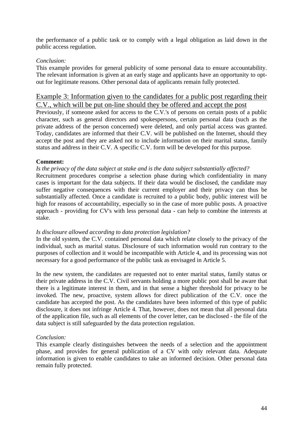the performance of a public task or to comply with a legal obligation as laid down in the public access regulation.

#### *Conclusion:*

This example provides for general publicity of some personal data to ensure accountability. The relevant information is given at an early stage and applicants have an opportunity to optout for legitimate reasons. Other personal data of applicants remain fully protected.

### Example 3: Information given to the candidates for a public post regarding their C.V., which will be put on-line should they be offered and accept the post

Previously, if someone asked for access to the C.V.'s of persons on certain posts of a public character, such as general directors and spokespersons, certain personal data (such as the private address of the person concerned) were deleted, and only partial access was granted. Today, candidates are informed that their C.V. will be published on the Internet, should they accept the post and they are asked not to include information on their marital status, family status and address in their C.V. A specific C.V. form will be developed for this purpose.

#### **Comment:**

*Is the privacy of the data subject at stake and is the data subject substantially affected?*  Recruitment procedures comprise a selection phase during which confidentiality in many cases is important for the data subjects. If their data would be disclosed, the candidate may suffer negative consequences with their current employer and their privacy can thus be substantially affected. Once a candidate is recruited to a public body, public interest will be high for reasons of accountability, especially so in the case of more public posts. A proactive approach - providing for CV's with less personal data - can help to combine the interests at stake.

#### *Is disclosure allowed according to data protection legislation?*

In the old system, the C.V. contained personal data which relate closely to the privacy of the individual, such as marital status. Disclosure of such information would run contrary to the purposes of collection and it would be incompatible with Article 4, and its processing was not necessary for a good performance of the public task as envisaged in Article 5.

In the new system, the candidates are requested not to enter marital status, family status or their private address in the C.V. Civil servants holding a more public post shall be aware that there is a legitimate interest in them, and in that sense a higher threshold for privacy to be invoked. The new, proactive, system allows for direct publication of the C.V. once the candidate has accepted the post. As the candidates have been informed of this type of public disclosure, it does not infringe Article 4. That, however, does not mean that all personal data of the application file, such as all elements of the cover letter, can be disclosed - the file of the data subject is still safeguarded by the data protection regulation.

#### *Conclusion:*

This example clearly distinguishes between the needs of a selection and the appointment phase, and provides for general publication of a CV with only relevant data. Adequate information is given to enable candidates to take an informed decision. Other personal data remain fully protected.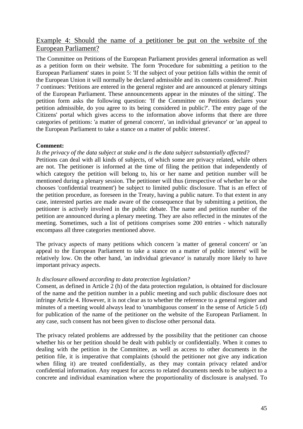## Example 4: Should the name of a petitioner be put on the website of the European Parliament?

The Committee on Petitions of the European Parliament provides general information as well as a petition form on their website. The form 'Procedure for submitting a petition to the European Parliament' states in point 5: 'If the subject of your petition falls within the remit of the European Union it will normally be declared admissible and its contents considered'. Point 7 continues: 'Petitions are entered in the general register and are announced at plenary sittings of the European Parliament. These announcements appear in the minutes of the sitting'. The petition form asks the following question: 'If the Committee on Petitions declares your petition admissible, do you agree to its being considered in public?'. The entry page of the Citizens' portal which gives access to the information above informs that there are three categories of petitions: 'a matter of general concern', 'an individual grievance' or 'an appeal to the European Parliament to take a stance on a matter of public interest'.

#### **Comment:**

#### *Is the privacy of the data subject at stake and is the data subject substantially affected?*

Petitions can deal with all kinds of subjects, of which some are privacy related, while others are not. The petitioner is informed at the time of filing the petition that independently of which category the petition will belong to, his or her name and petition number will be mentioned during a plenary session. The petitioner will thus (irrespective of whether he or she chooses 'confidential treatment') be subject to limited public disclosure. That is an effect of the petition procedure, as foreseen in the Treaty, having a public nature. To that extent in any case, interested parties are made aware of the consequence that by submitting a petition, the petitioner is actively involved in the public debate. The name and petition number of the petition are announced during a plenary meeting. They are also reflected in the minutes of the meeting. Sometimes, such a list of petitions comprises some 200 entries - which naturally encompass all three categories mentioned above.

The privacy aspects of many petitions which concern 'a matter of general concern' or 'an appeal to the European Parliament to take a stance on a matter of public interest' will be relatively low. On the other hand, 'an individual grievance' is naturally more likely to have important privacy aspects.

#### *Is disclosure allowed according to data protection legislation?*

Consent, as defined in Article 2 (h) of the data protection regulation, is obtained for disclosure of the name and the petition number in a public meeting and such public disclosure does not infringe Article 4. However, it is not clear as to whether the reference to a general register and minutes of a meeting would always lead to 'unambiguous consent' in the sense of Article 5 (d) for publication of the name of the petitioner on the website of the European Parliament. In any case, such consent has not been given to disclose other personal data.

The privacy related problems are addressed by the possibility that the petitioner can choose whether his or her petition should be dealt with publicly or confidentially. When it comes to dealing with the petition in the Committee, as well as access to other documents in the petition file, it is imperative that complaints (should the petitioner not give any indication when filing it) are treated confidentially, as they may contain privacy related and/or confidential information. Any request for access to related documents needs to be subject to a concrete and individual examination where the proportionality of disclosure is analysed. To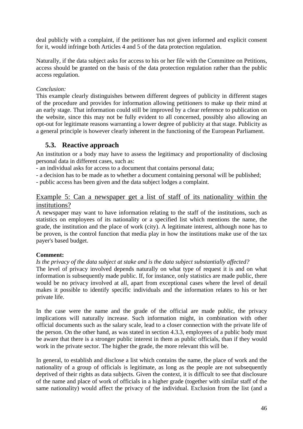<span id="page-45-0"></span>deal publicly with a complaint, if the petitioner has not given informed and explicit consent for it, would infringe both Articles 4 and 5 of the data protection regulation.

Naturally, if the data subject asks for access to his or her file with the Committee on Petitions, access should be granted on the basis of the data protection regulation rather than the public access regulation.

### *Conclusion:*

This example clearly distinguishes between different degrees of publicity in different stages of the procedure and provides for information allowing petitioners to make up their mind at an early stage. That information could still be improved by a clear reference to publication on the website, since this may not be fully evident to all concerned, possibly also allowing an opt-out for legitimate reasons warranting a lower degree of publicity at that stage. Publicity as a general principle is however clearly inherent in the functioning of the European Parliament.

## **5.3. Reactive approach**

An institution or a body may have to assess the legitimacy and proportionality of disclosing personal data in different cases, such as:

- an individual asks for access to a document that contains personal data;

- a decision has to be made as to whether a document containing personal will be published;

- public access has been given and the data subject lodges a complaint.

## Example 5: Can a newspaper get a list of staff of its nationality within the institutions?

A newspaper may want to have information relating to the staff of the institutions, such as statistics on employees of its nationality or a specified list which mentions the name, the grade, the institution and the place of work (city). A legitimate interest, although none has to be proven, is the control function that media play in how the institutions make use of the tax payer's based budget.

### **Comment:**

#### *Is the privacy of the data subject at stake and is the data subject substantially affected?*

The level of privacy involved depends naturally on what type of request it is and on what information is subsequently made public. If, for instance, only statistics are made public, there would be no privacy involved at all, apart from exceptional cases where the level of detail makes it possible to identify specific individuals and the information relates to his or her private life.

In the case were the name and the grade of the official are made public, the privacy implications will naturally increase. Such information might, in combination with other official documents such as the salary scale, lead to a closer connection with the private life of the person. On the other hand, as was stated in section 4.3.3, employees of a public body must be aware that there is a stronger public interest in them as public officials, than if they would work in the private sector. The higher the grade, the more relevant this will be.

In general, to establish and disclose a list which contains the name, the place of work and the nationality of a group of officials is legitimate, as long as the people are not subsequently deprived of their rights as data subjects. Given the context, it is difficult to see that disclosure of the name and place of work of officials in a higher grade (together with similar staff of the same nationality) would affect the privacy of the individual. Exclusion from the list (and a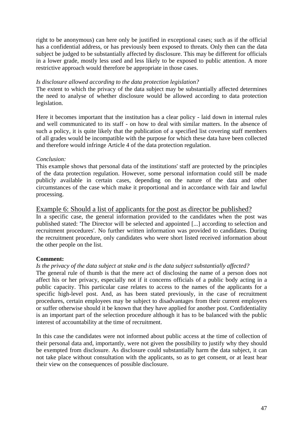right to be anonymous) can here only be justified in exceptional cases; such as if the official has a confidential address, or has previously been exposed to threats. Only then can the data subject be judged to be substantially affected by disclosure. This may be different for officials in a lower grade, mostly less used and less likely to be exposed to public attention. A more restrictive approach would therefore be appropriate in those cases.

#### *Is disclosure allowed according to the data protection legislation?*

The extent to which the privacy of the data subject may be substantially affected determines the need to analyse of whether disclosure would be allowed according to data protection legislation.

Here it becomes important that the institution has a clear policy - laid down in internal rules and well communicated to its staff - on how to deal with similar matters. In the absence of such a policy, it is quite likely that the publication of a specified list covering staff members of all grades would be incompatible with the purpose for which these data have been collected and therefore would infringe Article 4 of the data protection regulation.

#### *Conclusion:*

This example shows that personal data of the institutions' staff are protected by the principles of the data protection regulation. However, some personal information could still be made publicly available in certain cases, depending on the nature of the data and other circumstances of the case which make it proportional and in accordance with fair and lawful processing.

### Example 6: Should a list of applicants for the post as director be published?

In a specific case, the general information provided to the candidates when the post was published stated: 'The Director will be selected and appointed [...] according to selection and recruitment procedures'. No further written information was provided to candidates. During the recruitment procedure, only candidates who were short listed received information about the other people on the list.

#### **Comment:**

#### *Is the privacy of the data subject at stake and is the data subject substantially affected?*

The general rule of thumb is that the mere act of disclosing the name of a person does not affect his or her privacy, especially not if it concerns officials of a public body acting in a public capacity. This particular case relates to access to the names of the applicants for a specific high-level post. And, as has been stated previously, in the case of recruitment procedures, certain employees may be subject to disadvantages from their current employers or suffer otherwise should it be known that they have applied for another post. Confidentiality is an important part of the selection procedure although it has to be balanced with the public interest of accountability at the time of recruitment.

In this case the candidates were not informed about public access at the time of collection of their personal data and, importantly, were not given the possibility to justify why they should be exempted from disclosure. As disclosure could substantially harm the data subject, it can not take place without consultation with the applicants, so as to get consent, or at least hear their view on the consequences of possible disclosure.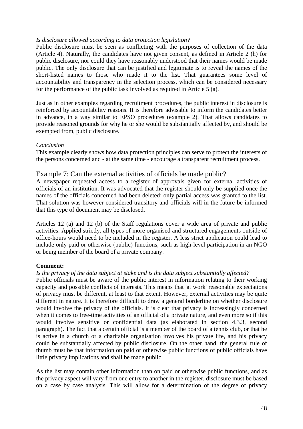#### *Is disclosure allowed according to data protection legislation?*

Public disclosure must be seen as conflicting with the purposes of collection of the data (Article 4). Naturally, the candidates have not given consent, as defined in Article 2 (h) for public disclosure, nor could they have reasonably understood that their names would be made public. The only disclosure that can be justified and legitimate is to reveal the names of the short-listed names to those who made it to the list. That guarantees some level of accountability and transparency in the selection process, which can be considered necessary for the performance of the public task involved as required in Article 5 (a).

Just as in other examples regarding recruitment procedures, the public interest in disclosure is reinforced by accountability reasons. It is therefore advisable to inform the candidates better in advance, in a way similar to EPSO procedures (example 2). That allows candidates to provide reasoned grounds for why he or she would be substantially affected by, and should be exempted from, public disclosure.

#### *Conclusion*

This example clearly shows how data protection principles can serve to protect the interests of the persons concerned and - at the same time - encourage a transparent recruitment process.

#### Example 7: Can the external activities of officials be made public?

A newspaper requested access to a register of approvals given for external activities of officials of an institution. It was advocated that the register should only be supplied once the names of the officials concerned had been deleted; only partial access was granted to the list. That solution was however considered transitory and officials will in the future be informed that this type of document may be disclosed.

Articles 12 (a) and 12 (b) of the Staff regulations cover a wide area of private and public activities. Applied strictly, all types of more organised and structured engagements outside of office-hours would need to be included in the register. A less strict application could lead to include only paid or otherwise (public) functions, such as high-level participation in an NGO or being member of the board of a private company.

#### **Comment:**

#### *Is the privacy of the data subject at stake and is the data subject substantially affected?*

Public officials must be aware of the public interest in information relating to their working capacity and possible conflicts of interests. This means that 'at work' reasonable expectations of privacy must be different, at least to that extent. However, external activities may be quite different in nature. It is therefore difficult to draw a general borderline on whether disclosure would involve the privacy of the officials. It is clear that privacy is increasingly concerned when it comes to free-time activities of an official of a private nature, and even more so if this would involve sensitive or confidential data (as elaborated in section 4.3.3, second paragraph). The fact that a certain official is a member of the board of a tennis club, or that he is active in a church or a charitable organisation involves his private life, and his privacy could be substantially affected by public disclosure. On the other hand, the general rule of thumb must be that information on paid or otherwise public functions of public officials have little privacy implications and shall be made public.

As the list may contain other information than on paid or otherwise public functions, and as the privacy aspect will vary from one entry to another in the register, disclosure must be based on a case by case analysis. This will allow for a determination of the degree of privacy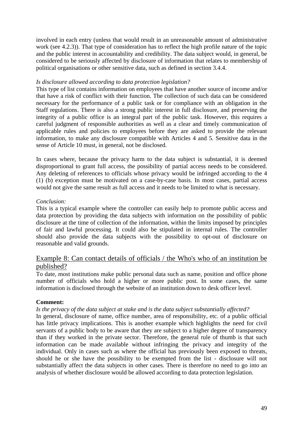involved in each entry (unless that would result in an unreasonable amount of administrative work (see 4.2.3)). That type of consideration has to reflect the high profile nature of the topic and the public interest in accountability and credibility. The data subject would, in general, be considered to be seriously affected by disclosure of information that relates to membership of political organisations or other sensitive data, such as defined in section 3.4.4.

#### *Is disclosure allowed according to data protection legislation?*

This type of list contains information on employees that have another source of income and/or that have a risk of conflict with their function. The collection of such data can be considered necessary for the performance of a public task or for compliance with an obligation in the Staff regulations. There is also a strong public interest in full disclosure, and preserving the integrity of a public office is an integral part of the public task. However, this requires a careful judgment of responsible authorities as well as a clear and timely communication of applicable rules and policies to employees before they are asked to provide the relevant information, to make any disclosure compatible with Articles 4 and 5. Sensitive data in the sense of Article 10 must, in general, not be disclosed.

In cases where, because the privacy harm to the data subject is substantial, it is deemed disproportional to grant full access, the possibility of partial access needs to be considered. Any deleting of references to officials whose privacy would be infringed according to the 4 (1) (b) exception must be motivated on a case-by-case basis. In most cases, partial access would not give the same result as full access and it needs to be limited to what is necessary.

#### *Conclusion:*

This is a typical example where the controller can easily help to promote public access and data protection by providing the data subjects with information on the possibility of public disclosure at the time of collection of the information, within the limits imposed by principles of fair and lawful processing. It could also be stipulated in internal rules. The controller should also provide the data subjects with the possibility to opt-out of disclosure on reasonable and valid grounds.

### Example 8: Can contact details of officials / the Who's who of an institution be published?

To date, most institutions make public personal data such as name, position and office phone number of officials who hold a higher or more public post. In some cases, the same information is disclosed through the website of an institution down to desk officer level.

#### **Comment:**

*Is the privacy of the data subject at stake and is the data subject substantially affected?* 

In general, disclosure of name, office number, area of responsibility, etc. of a public official has little privacy implications. This is another example which highlights the need for civil servants of a public body to be aware that they are subject to a higher degree of transparency than if they worked in the private sector. Therefore, the general rule of thumb is that such information can be made available without infringing the privacy and integrity of the individual. Only in cases such as where the official has previously been exposed to threats, should he or she have the possibility to be exempted from the list - disclosure will not substantially affect the data subjects in other cases. There is therefore no need to go into an analysis of whether disclosure would be allowed according to data protection legislation.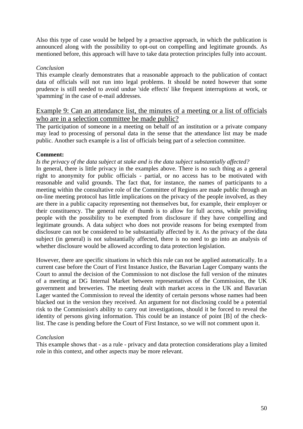Also this type of case would be helped by a proactive approach, in which the publication is announced along with the possibility to opt-out on compelling and legitimate grounds. As mentioned before, this approach will have to take data protection principles fully into account.

#### *Conclusion*

This example clearly demonstrates that a reasonable approach to the publication of contact data of officials will not run into legal problems. It should be noted however that some prudence is still needed to avoid undue 'side effects' like frequent interruptions at work, or 'spamming' in the case of e-mail addresses.

### Example 9: Can an attendance list, the minutes of a meeting or a list of officials who are in a selection committee be made public?

The participation of someone in a meeting on behalf of an institution or a private company may lead to processing of personal data in the sense that the attendance list may be made public. Another such example is a list of officials being part of a selection committee.

#### **Comment:**

*Is the privacy of the data subject at stake and is the data subject substantially affected?* 

In general, there is little privacy in the examples above. There is no such thing as a general right to anonymity for public officials - partial, or no access has to be motivated with reasonable and valid grounds. The fact that, for instance, the names of participants to a meeting within the consultative role of the Committee of Regions are made public through an on-line meeting protocol has little implications on the privacy of the people involved, as they are there in a public capacity representing not themselves but, for example, their employer or their constituency. The general rule of thumb is to allow for full access, while providing people with the possibility to be exempted from disclosure if they have compelling and legitimate grounds. A data subject who does not provide reasons for being exempted from disclosure can not be considered to be substantially affected by it. As the privacy of the data subject (in general) is not substantially affected, there is no need to go into an analysis of whether disclosure would be allowed according to data protection legislation.

However, there are specific situations in which this rule can not be applied automatically. In a current case before the Court of First Instance Justice, the Bavarian Lager Company wants the Court to annul the decision of the Commission to not disclose the full version of the minutes of a meeting at DG Internal Market between representatives of the Commission, the UK government and breweries. The meeting dealt with market access in the UK and Bavarian Lager wanted the Commission to reveal the identity of certain persons whose names had been blacked out in the version they received. An argument for not disclosing could be a potential risk to the Commission's ability to carry out investigations, should it be forced to reveal the identity of persons giving information. This could be an instance of point [B] of the checklist. The case is pending before the Court of First Instance, so we will not comment upon it.

#### *Conclusion*

This example shows that - as a rule - privacy and data protection considerations play a limited role in this context, and other aspects may be more relevant.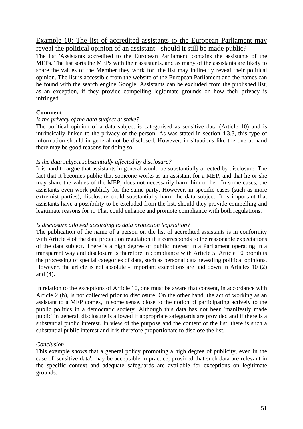Example 10: The list of accredited assistants to the European Parliament may reveal the political opinion of an assistant - should it still be made public?

The list 'Assistants accredited to the European Parliament' contains the assistants of the MEPs. The list sorts the MEPs with their assistants, and as many of the assistants are likely to share the values of the Member they work for, the list may indirectly reveal their political opinion. The list is accessible from the website of the European Parliament and the names can be found with the search engine Google. Assistants can be excluded from the published list, as an exception, if they provide compelling legitimate grounds on how their privacy is infringed.

#### **Comment:**

#### *Is the privacy of the data subject at stake?*

The political opinion of a data subject is categorised as sensitive data (Article 10) and is intrinsically linked to the privacy of the person. As was stated in section 4.3.3, this type of information should in general not be disclosed. However, in situations like the one at hand there may be good reasons for doing so.

#### *Is the data subject substantially affected by disclosure?*

It is hard to argue that assistants in general would be substantially affected by disclosure. The fact that it becomes public that someone works as an assistant for a MEP, and that he or she may share the values of the MEP, does not necessarily harm him or her. In some cases, the assistants even work publicly for the same party. However, in specific cases (such as more extremist parties), disclosure could substantially harm the data subject. It is important that assistants have a possibility to be excluded from the list, should they provide compelling and legitimate reasons for it. That could enhance and promote compliance with both regulations.

#### *Is disclosure allowed according to data protection legislation?*

The publication of the name of a person on the list of accredited assistants is in conformity with Article 4 of the data protection regulation if it corresponds to the reasonable expectations of the data subject. There is a high degree of public interest in a Parliament operating in a transparent way and disclosure is therefore in compliance with Article 5. Article 10 prohibits the processing of special categories of data, such as personal data revealing political opinions. However, the article is not absolute - important exceptions are laid down in Articles 10 (2) and (4).

In relation to the exceptions of Article 10, one must be aware that consent, in accordance with Article 2 (h), is not collected prior to disclosure. On the other hand, the act of working as an assistant to a MEP comes, in some sense, close to the notion of participating actively to the public politics in a democratic society. Although this data has not been 'manifestly made public' in general, disclosure is allowed if appropriate safeguards are provided and if there is a substantial public interest. In view of the purpose and the content of the list, there is such a substantial public interest and it is therefore proportionate to disclose the list.

#### *Conclusion*

This example shows that a general policy promoting a high degree of publicity, even in the case of 'sensitive data', may be acceptable in practice, provided that such data are relevant in the specific context and adequate safeguards are available for exceptions on legitimate grounds.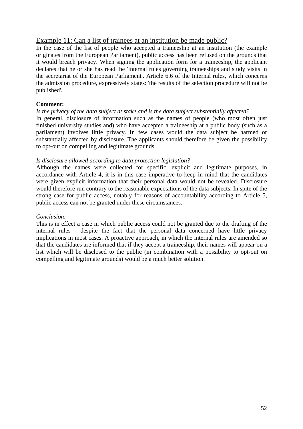### Example 11: Can a list of trainees at an institution be made public?

In the case of the list of people who accepted a traineeship at an institution (the example originates from the European Parliament), public access has been refused on the grounds that it would breach privacy. When signing the application form for a traineeship, the applicant declares that he or she has read the 'Internal rules governing traineeships and study visits in the secretariat of the European Parliament'. Article 6.6 of the Internal rules, which concerns the admission procedure, expressively states: 'the results of the selection procedure will not be published'.

#### **Comment:**

#### *Is the privacy of the data subject at stake and is the data subject substantially affected?*

In general, disclosure of information such as the names of people (who most often just finished university studies and) who have accepted a traineeship at a public body (such as a parliament) involves little privacy. In few cases would the data subject be harmed or substantially affected by disclosure. The applicants should therefore be given the possibility to opt-out on compelling and legitimate grounds.

#### *Is disclosure allowed according to data protection legislation?*

Although the names were collected for specific, explicit and legitimate purposes, in accordance with Article 4, it is in this case imperative to keep in mind that the candidates were given explicit information that their personal data would not be revealed. Disclosure would therefore run contrary to the reasonable expectations of the data subjects. In spite of the strong case for public access, notably for reasons of accountability according to Article 5, public access can not be granted under these circumstances.

#### *Conclusion:*

This is in effect a case in which public access could not be granted due to the drafting of the internal rules - despite the fact that the personal data concerned have little privacy implications in most cases. A proactive approach, in which the internal rules are amended so that the candidates are informed that if they accept a traineeship, their names will appear on a list which will be disclosed to the public (in combination with a possibility to opt-out on compelling and legitimate grounds) would be a much better solution.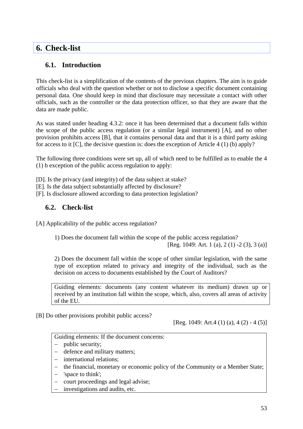## <span id="page-52-0"></span>**6. Check-list**

## **6.1. Introduction**

This check-list is a simplification of the contents of the previous chapters. The aim is to guide officials who deal with the question whether or not to disclose a specific document containing personal data. One should keep in mind that disclosure may necessitate a contact with other officials, such as the controller or the data protection officer, so that they are aware that the data are made public.

As was stated under heading 4.3.2: once it has been determined that a document falls within the scope of the public access regulation (or a similar legal instrument) [A], and no other provision prohibits access [B], that it contains personal data and that it is a third party asking for access to it [C], the decisive question is: does the exception of Article 4 (1) (b) apply?

The following three conditions were set up, all of which need to be fulfilled as to enable the 4 (1) b exception of the public access regulation to apply:

[D]. Is the privacy (and integrity) of the data subject at stake?

[E]. Is the data subject substantially affected by disclosure?

[F]. Is disclosure allowed according to data protection legislation?

## **6.2. Check-list**

[A] Applicability of the public access regulation?

1) Does the document fall within the scope of the public access regulation?

[Reg. 1049: Art. 1 (a), 2 (1) -2 (3), 3 (a)]

2) Does the document fall within the scope of other similar legislation, with the same type of exception related to privacy and integrity of the individual, such as the decision on access to documents established by the Court of Auditors?

Guiding elements: documents (any content whatever its medium) drawn up or received by an institution fall within the scope, which, also, covers all areas of activity of the EU.

[B] Do other provisions prohibit public access?

[Reg. 1049: Art.4 (1) (a), 4 (2) - 4 (5)]

Guiding elements: If the document concerns:

- − public security;
- − defence and military matters;
- − international relations;
- − the financial, monetary or economic policy of the Community or a Member State;
- − 'space to think';
- − court proceedings and legal advise;
- investigations and audits, etc.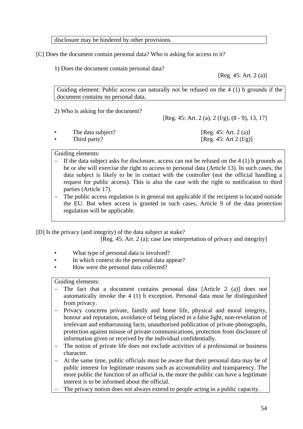disclosure may be hindered by other provisions.

[C] Does the document contain personal data? Who is asking for access to it?

1) Does the document contain personal data?

[Reg. 45: Art. 2 (a)]

Guiding element: Public access can naturally not be refused on the 4 (1) b grounds if the document contains no personal data.

2) Who is asking for the document?

[Reg. 45: Art. 2 (a), 2 (f/g), (8 - 9), 13, 17]

| The data subject? | [Reg. 45: Art. 2 (a)]     |
|-------------------|---------------------------|
| Third party?      | [Reg. 45: Art 2 $(f/g)$ ] |

Guiding elements:

- If the data subject asks for disclosure, access can not be refused on the  $4(1)$  b grounds as he or she will exercise the right to access to personal data (Article 13). In such cases, the data subject is likely to be in contact with the controller (not the official handling a request for public access). This is also the case with the right to notification to third parties (Article 17).
- The public access regulation is in general not applicable if the recipient is located outside the EU. But when access is granted in such cases, Article 9 of the data protection regulation will be applicable.

[D] Is the privacy (and integrity) of the data subject at stake?

[Reg. 45: Art. 2 (a); case law interpretation of privacy and integrity]

- What type of personal data is involved?
- In which context do the personal data appear?
- How were the personal data collected?

Guiding elements:

- The fact that a document contains personal data [Article 2 (a)] does not automatically invoke the 4 (1) b exception. Personal data must be distinguished from privacy.
- − Privacy concerns private, family and home life, physical and moral integrity, honour and reputation, avoidance of being placed in a false light, non-revelation of irrelevant and embarrassing facts, unauthorised publication of private photographs, protection against misuse of private communications, protection from disclosure of information given or received by the individual confidentially.
- The notion of private life does not exclude activities of a professional or business character.
- At the same time, public officials must be aware that their personal data may be of public interest for legitimate reasons such as accountability and transparency. The more public the function of an official is, the more the public can have a legitimate interest is to be informed about the official.
- The privacy notion does not always extend to people acting in a public capacity.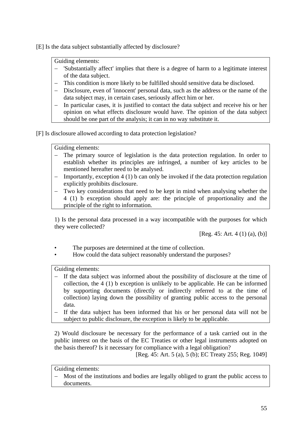[E] Is the data subject substantially affected by disclosure?

Guiding elements:

- − 'Substantially affect' implies that there is a degree of harm to a legitimate interest of the data subject.
- − This condition is more likely to be fulfilled should sensitive data be disclosed.
- − Disclosure, even of 'innocent' personal data, such as the address or the name of the data subject may, in certain cases, seriously affect him or her.
- − In particular cases, it is justified to contact the data subject and receive his or her opinion on what effects disclosure would have. The opinion of the data subject should be one part of the analysis; it can in no way substitute it.

[F] Is disclosure allowed according to data protection legislation?

Guiding elements:

- The primary source of legislation is the data protection regulation. In order to establish whether its principles are infringed, a number of key articles to be mentioned hereafter need to be analysed.
- − Importantly, exception 4 (1) b can only be invoked if the data protection regulation explicitly prohibits disclosure.
- − Two key considerations that need to be kept in mind when analysing whether the 4 (1) b exception should apply are: the principle of proportionality and the principle of the right to information.

1) Is the personal data processed in a way incompatible with the purposes for which they were collected?

 $[Reg. 45: Art. 4 (1) (a), (b)]$ 

- The purposes are determined at the time of collection.
- How could the data subject reasonably understand the purposes?

Guiding elements:

- − If the data subject was informed about the possibility of disclosure at the time of collection, the 4 (1) b exception is unlikely to be applicable. He can be informed by supporting documents (directly or indirectly referred to at the time of collection) laying down the possibility of granting public access to the personal data.
- If the data subject has been informed that his or her personal data will not be subject to public disclosure, the exception is likely to be applicable.

2) Would disclosure be necessary for the performance of a task carried out in the public interest on the basis of the EC Treaties or other legal instruments adopted on the basis thereof? Is it necessary for compliance with a legal obligation?

[Reg. 45: Art. 5 (a), 5 (b); EC Treaty 255; Reg. 1049]

Guiding elements:

Most of the institutions and bodies are legally obliged to grant the public access to documents.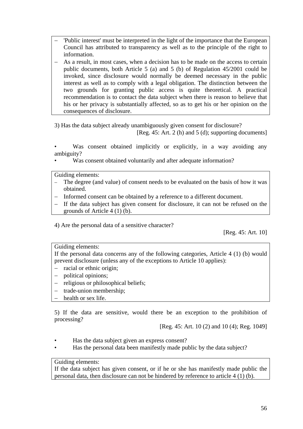- − 'Public interest' must be interpreted in the light of the importance that the European Council has attributed to transparency as well as to the principle of the right to information.
- − As a result, in most cases, when a decision has to be made on the access to certain public documents, both Article 5 (a) and 5 (b) of Regulation 45/2001 could be invoked, since disclosure would normally be deemed necessary in the public interest as well as to comply with a legal obligation. The distinction between the two grounds for granting public access is quite theoretical. A practical recommendation is to contact the data subject when there is reason to believe that his or her privacy is substantially affected, so as to get his or her opinion on the consequences of disclosure.

3) Has the data subject already unambiguously given consent for disclosure?

[Reg. 45: Art. 2 (h) and 5 (d); supporting documents]

- Was consent obtained implicitly or explicitly, in a way avoiding any ambiguity?
- Was consent obtained voluntarily and after adequate information?

Guiding elements:

- − The degree (and value) of consent needs to be evaluated on the basis of how it was obtained.
- − Informed consent can be obtained by a reference to a different document.
- If the data subject has given consent for disclosure, it can not be refused on the grounds of Article 4 (1) (b).

4) Are the personal data of a sensitive character?

[Reg. 45: Art. 10]

#### Guiding elements:

If the personal data concerns any of the following categories, Article 4 (1) (b) would prevent disclosure (unless any of the exceptions to Article 10 applies):

- − racial or ethnic origin;
- − political opinions;
- − religious or philosophical beliefs;
- − trade-union membership;
- health or sex life.

5) If the data are sensitive, would there be an exception to the prohibition of processing?

[Reg. 45: Art. 10 (2) and 10 (4); Reg. 1049]

- Has the data subject given an express consent?
- Has the personal data been manifestly made public by the data subject?

#### Guiding elements:

If the data subject has given consent, or if he or she has manifestly made public the personal data, then disclosure can not be hindered by reference to article 4 (1) (b).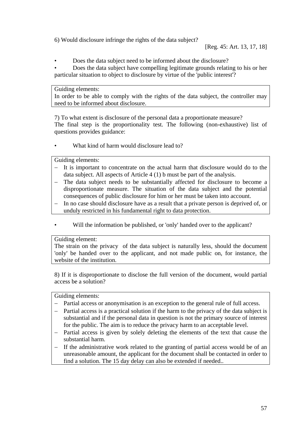6) Would disclosure infringe the rights of the data subject?

• Does the data subject need to be informed about the disclosure?

• Does the data subject have compelling legitimate grounds relating to his or her particular situation to object to disclosure by virtue of the 'public interest'?

#### Guiding elements:

In order to be able to comply with the rights of the data subject, the controller may need to be informed about disclosure.

7) To what extent is disclosure of the personal data a proportionate measure? The final step is the proportionality test. The following (non-exhaustive) list of questions provides guidance:

What kind of harm would disclosure lead to?

Guiding elements:

- − It is important to concentrate on the actual harm that disclosure would do to the data subject. All aspects of Article 4 (1) b must be part of the analysis.
- The data subject needs to be substantially affected for disclosure to become a disproportionate measure. The situation of the data subject and the potential consequences of public disclosure for him or her must be taken into account.
- In no case should disclosure have as a result that a private person is deprived of, or unduly restricted in his fundamental right to data protection.
- Will the information be published, or 'only' handed over to the applicant?

#### Guiding element:

The strain on the privacy of the data subject is naturally less, should the document 'only' be handed over to the applicant, and not made public on, for instance, the website of the institution.

8) If it is disproportionate to disclose the full version of the document, would partial access be a solution?

Guiding elements:

- − Partial access or anonymisation is an exception to the general rule of full access.
- − Partial access is a practical solution if the harm to the privacy of the data subject is substantial and if the personal data in question is not the primary source of interest for the public. The aim is to reduce the privacy harm to an acceptable level.
- Partial access is given by solely deleting the elements of the text that cause the substantial harm.
- − If the administrative work related to the granting of partial access would be of an unreasonable amount, the applicant for the document shall be contacted in order to find a solution. The 15 day delay can also be extended if needed..